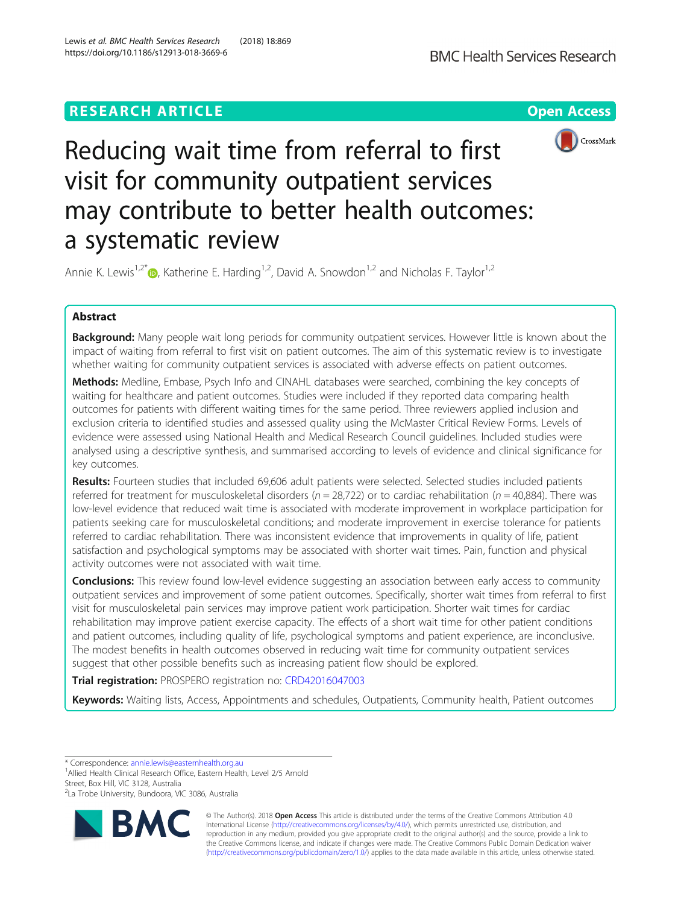## **RESEARCH ARTICLE Example 2014 12:30 The Contract of Contract ACCESS**



# Reducing wait time from referral to first visit for community outpatient services may contribute to better health outcomes: a systematic review

Annie K. Lewis<sup>1,2[\\*](http://orcid.org/0000-0002-8143-4956)</sup>  $\bullet$ , Katherine E. Harding<sup>1,2</sup>, David A. Snowdon<sup>1,2</sup> and Nicholas F. Taylor<sup>1,2</sup>

## Abstract

Background: Many people wait long periods for community outpatient services. However little is known about the impact of waiting from referral to first visit on patient outcomes. The aim of this systematic review is to investigate whether waiting for community outpatient services is associated with adverse effects on patient outcomes.

Methods: Medline, Embase, Psych Info and CINAHL databases were searched, combining the key concepts of waiting for healthcare and patient outcomes. Studies were included if they reported data comparing health outcomes for patients with different waiting times for the same period. Three reviewers applied inclusion and exclusion criteria to identified studies and assessed quality using the McMaster Critical Review Forms. Levels of evidence were assessed using National Health and Medical Research Council guidelines. Included studies were analysed using a descriptive synthesis, and summarised according to levels of evidence and clinical significance for key outcomes.

Results: Fourteen studies that included 69,606 adult patients were selected. Selected studies included patients referred for treatment for musculoskeletal disorders ( $n = 28,722$ ) or to cardiac rehabilitation ( $n = 40,884$ ). There was low-level evidence that reduced wait time is associated with moderate improvement in workplace participation for patients seeking care for musculoskeletal conditions; and moderate improvement in exercise tolerance for patients referred to cardiac rehabilitation. There was inconsistent evidence that improvements in quality of life, patient satisfaction and psychological symptoms may be associated with shorter wait times. Pain, function and physical activity outcomes were not associated with wait time.

**Conclusions:** This review found low-level evidence suggesting an association between early access to community outpatient services and improvement of some patient outcomes. Specifically, shorter wait times from referral to first visit for musculoskeletal pain services may improve patient work participation. Shorter wait times for cardiac rehabilitation may improve patient exercise capacity. The effects of a short wait time for other patient conditions and patient outcomes, including quality of life, psychological symptoms and patient experience, are inconclusive. The modest benefits in health outcomes observed in reducing wait time for community outpatient services suggest that other possible benefits such as increasing patient flow should be explored.

Trial registration: PROSPERO registration no: [CRD42016047003](https://www.crd.york.ac.uk/prospero/display_record.php?RecordID=47003)

Keywords: Waiting lists, Access, Appointments and schedules, Outpatients, Community health, Patient outcomes

\* Correspondence: [annie.lewis@easternhealth.org.au](mailto:annie.lewis@easternhealth.org.au) <sup>1</sup>

<sup>1</sup> Allied Health Clinical Research Office, Eastern Health, Level 2/5 Arnold Street, Box Hill, VIC 3128, Australia

<sup>2</sup>La Trobe University, Bundoora, VIC 3086, Australia



© The Author(s). 2018 Open Access This article is distributed under the terms of the Creative Commons Attribution 4.0 International License [\(http://creativecommons.org/licenses/by/4.0/](http://creativecommons.org/licenses/by/4.0/)), which permits unrestricted use, distribution, and reproduction in any medium, provided you give appropriate credit to the original author(s) and the source, provide a link to the Creative Commons license, and indicate if changes were made. The Creative Commons Public Domain Dedication waiver [\(http://creativecommons.org/publicdomain/zero/1.0/](http://creativecommons.org/publicdomain/zero/1.0/)) applies to the data made available in this article, unless otherwise stated.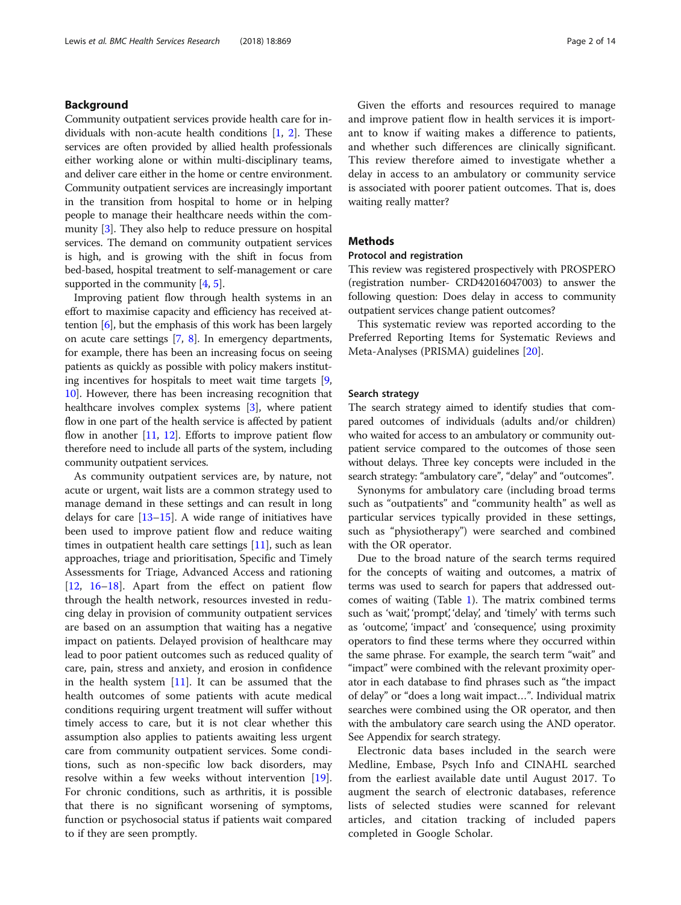## Background

Community outpatient services provide health care for individuals with non-acute health conditions [\[1,](#page-12-0) [2](#page-12-0)]. These services are often provided by allied health professionals either working alone or within multi-disciplinary teams, and deliver care either in the home or centre environment. Community outpatient services are increasingly important in the transition from hospital to home or in helping people to manage their healthcare needs within the community [[3](#page-12-0)]. They also help to reduce pressure on hospital services. The demand on community outpatient services is high, and is growing with the shift in focus from bed-based, hospital treatment to self-management or care supported in the community [\[4,](#page-12-0) [5](#page-12-0)].

Improving patient flow through health systems in an effort to maximise capacity and efficiency has received attention [\[6](#page-12-0)], but the emphasis of this work has been largely on acute care settings [[7,](#page-12-0) [8\]](#page-12-0). In emergency departments, for example, there has been an increasing focus on seeing patients as quickly as possible with policy makers instituting incentives for hospitals to meet wait time targets [[9](#page-12-0), [10](#page-12-0)]. However, there has been increasing recognition that healthcare involves complex systems [\[3](#page-12-0)], where patient flow in one part of the health service is affected by patient flow in another  $[11, 12]$  $[11, 12]$  $[11, 12]$  $[11, 12]$ . Efforts to improve patient flow therefore need to include all parts of the system, including community outpatient services.

As community outpatient services are, by nature, not acute or urgent, wait lists are a common strategy used to manage demand in these settings and can result in long delays for care [[13](#page-12-0)–[15](#page-12-0)]. A wide range of initiatives have been used to improve patient flow and reduce waiting times in outpatient health care settings  $[11]$  $[11]$  $[11]$ , such as lean approaches, triage and prioritisation, Specific and Timely Assessments for Triage, Advanced Access and rationing [[12,](#page-12-0) [16](#page-12-0)–[18](#page-12-0)]. Apart from the effect on patient flow through the health network, resources invested in reducing delay in provision of community outpatient services are based on an assumption that waiting has a negative impact on patients. Delayed provision of healthcare may lead to poor patient outcomes such as reduced quality of care, pain, stress and anxiety, and erosion in confidence in the health system  $[11]$  $[11]$  $[11]$ . It can be assumed that the health outcomes of some patients with acute medical conditions requiring urgent treatment will suffer without timely access to care, but it is not clear whether this assumption also applies to patients awaiting less urgent care from community outpatient services. Some conditions, such as non-specific low back disorders, may resolve within a few weeks without intervention [\[19](#page-12-0)]. For chronic conditions, such as arthritis, it is possible that there is no significant worsening of symptoms, function or psychosocial status if patients wait compared to if they are seen promptly.

Given the efforts and resources required to manage and improve patient flow in health services it is important to know if waiting makes a difference to patients, and whether such differences are clinically significant. This review therefore aimed to investigate whether a delay in access to an ambulatory or community service is associated with poorer patient outcomes. That is, does waiting really matter?

## **Methods**

## Protocol and registration

This review was registered prospectively with PROSPERO (registration number- CRD42016047003) to answer the following question: Does delay in access to community outpatient services change patient outcomes?

This systematic review was reported according to the Preferred Reporting Items for Systematic Reviews and Meta-Analyses (PRISMA) guidelines [\[20](#page-12-0)].

#### Search strategy

The search strategy aimed to identify studies that compared outcomes of individuals (adults and/or children) who waited for access to an ambulatory or community outpatient service compared to the outcomes of those seen without delays. Three key concepts were included in the search strategy: "ambulatory care", "delay" and "outcomes".

Synonyms for ambulatory care (including broad terms such as "outpatients" and "community health" as well as particular services typically provided in these settings, such as "physiotherapy") were searched and combined with the OR operator.

Due to the broad nature of the search terms required for the concepts of waiting and outcomes, a matrix of terms was used to search for papers that addressed outcomes of waiting (Table [1\)](#page-2-0). The matrix combined terms such as 'wait', 'prompt', 'delay', and 'timely' with terms such as 'outcome', 'impact' and 'consequence', using proximity operators to find these terms where they occurred within the same phrase. For example, the search term "wait" and "impact" were combined with the relevant proximity operator in each database to find phrases such as "the impact of delay" or "does a long wait impact…". Individual matrix searches were combined using the OR operator, and then with the ambulatory care search using the AND operator. See Appendix for search strategy.

Electronic data bases included in the search were Medline, Embase, Psych Info and CINAHL searched from the earliest available date until August 2017. To augment the search of electronic databases, reference lists of selected studies were scanned for relevant articles, and citation tracking of included papers completed in Google Scholar.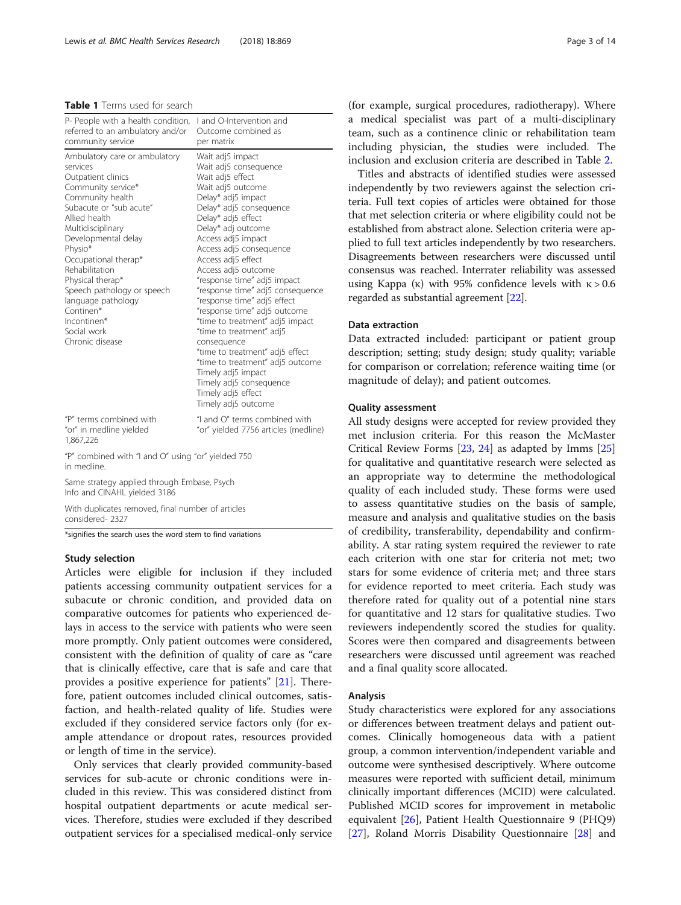## <span id="page-2-0"></span>Table 1 Terms used for search

| P- People with a health condition,<br>referred to an ambulatory and/or<br>community service                                                                                                                                                                                                                                                                                                  | I and O-Intervention and<br>Outcome combined as<br>per matrix                                                                                                                                                                                                                                                                                                                                                                                                                                                                                                                                                                                                      |
|----------------------------------------------------------------------------------------------------------------------------------------------------------------------------------------------------------------------------------------------------------------------------------------------------------------------------------------------------------------------------------------------|--------------------------------------------------------------------------------------------------------------------------------------------------------------------------------------------------------------------------------------------------------------------------------------------------------------------------------------------------------------------------------------------------------------------------------------------------------------------------------------------------------------------------------------------------------------------------------------------------------------------------------------------------------------------|
| Ambulatory care or ambulatory<br>services<br>Outpatient clinics<br>Community service*<br>Community health<br>Subacute or "sub acute"<br>Allied health<br>Multidisciplinary<br>Developmental delay<br>Physio*<br>Occupational therap*<br>Rehabilitation<br>Physical therap*<br>Speech pathology or speech<br>language pathology<br>Continen*<br>Incontinen*<br>Social work<br>Chronic disease | Wait adj5 impact<br>Wait adj5 consequence<br>Wait adj5 effect<br>Wait adj5 outcome<br>Delay* adj5 impact<br>Delay* adj5 consequence<br>Delay* adj5 effect<br>Delay* adj outcome<br>Access adj5 impact<br>Access adj5 consequence<br>Access adj5 effect<br>Access adj5 outcome<br>"response time" adj5 impact<br>"response time" adj5 consequence<br>"response time" adj5 effect<br>"response time" adj5 outcome<br>"time to treatment" adj5 impact<br>"time to treatment" adj5<br>consequence<br>"time to treatment" adj5 effect<br>"time to treatment" adj5 outcome<br>Timely adj5 impact<br>Timely adj5 consequence<br>Timely adj5 effect<br>Timely adj5 outcome |
| "P" terms combined with<br>"or" in medline yielded<br>1,867,226                                                                                                                                                                                                                                                                                                                              | "I and O" terms combined with<br>"or" yielded 7756 articles (medline)                                                                                                                                                                                                                                                                                                                                                                                                                                                                                                                                                                                              |
| "P" combined with "I and O" using "or" yielded 750<br>in medline.                                                                                                                                                                                                                                                                                                                            |                                                                                                                                                                                                                                                                                                                                                                                                                                                                                                                                                                                                                                                                    |
| Same strategy applied through Embase, Psych<br>Info and CINAHL yielded 3186                                                                                                                                                                                                                                                                                                                  |                                                                                                                                                                                                                                                                                                                                                                                                                                                                                                                                                                                                                                                                    |

With duplicates removed, final number of articles considered- 2327

\*signifies the search uses the word stem to find variations

## Study selection

Articles were eligible for inclusion if they included patients accessing community outpatient services for a subacute or chronic condition, and provided data on comparative outcomes for patients who experienced delays in access to the service with patients who were seen more promptly. Only patient outcomes were considered, consistent with the definition of quality of care as "care that is clinically effective, care that is safe and care that provides a positive experience for patients" [[21\]](#page-12-0). Therefore, patient outcomes included clinical outcomes, satisfaction, and health-related quality of life. Studies were excluded if they considered service factors only (for example attendance or dropout rates, resources provided or length of time in the service).

Only services that clearly provided community-based services for sub-acute or chronic conditions were included in this review. This was considered distinct from hospital outpatient departments or acute medical services. Therefore, studies were excluded if they described outpatient services for a specialised medical-only service

(for example, surgical procedures, radiotherapy). Where a medical specialist was part of a multi-disciplinary team, such as a continence clinic or rehabilitation team including physician, the studies were included. The inclusion and exclusion criteria are described in Table [2.](#page-3-0)

Titles and abstracts of identified studies were assessed independently by two reviewers against the selection criteria. Full text copies of articles were obtained for those that met selection criteria or where eligibility could not be established from abstract alone. Selection criteria were applied to full text articles independently by two researchers. Disagreements between researchers were discussed until consensus was reached. Interrater reliability was assessed using Kappa (κ) with 95% confidence levels with  $κ > 0.6$ regarded as substantial agreement [\[22\]](#page-12-0).

## Data extraction

Data extracted included: participant or patient group description; setting; study design; study quality; variable for comparison or correlation; reference waiting time (or magnitude of delay); and patient outcomes.

## Quality assessment

All study designs were accepted for review provided they met inclusion criteria. For this reason the McMaster Critical Review Forms [\[23,](#page-12-0) [24](#page-12-0)] as adapted by Imms [[25](#page-12-0)] for qualitative and quantitative research were selected as an appropriate way to determine the methodological quality of each included study. These forms were used to assess quantitative studies on the basis of sample, measure and analysis and qualitative studies on the basis of credibility, transferability, dependability and confirmability. A star rating system required the reviewer to rate each criterion with one star for criteria not met; two stars for some evidence of criteria met; and three stars for evidence reported to meet criteria. Each study was therefore rated for quality out of a potential nine stars for quantitative and 12 stars for qualitative studies. Two reviewers independently scored the studies for quality. Scores were then compared and disagreements between researchers were discussed until agreement was reached and a final quality score allocated.

#### Analysis

Study characteristics were explored for any associations or differences between treatment delays and patient outcomes. Clinically homogeneous data with a patient group, a common intervention/independent variable and outcome were synthesised descriptively. Where outcome measures were reported with sufficient detail, minimum clinically important differences (MCID) were calculated. Published MCID scores for improvement in metabolic equivalent [[26](#page-12-0)], Patient Health Questionnaire 9 (PHQ9) [[27\]](#page-12-0), Roland Morris Disability Questionnaire [\[28](#page-12-0)] and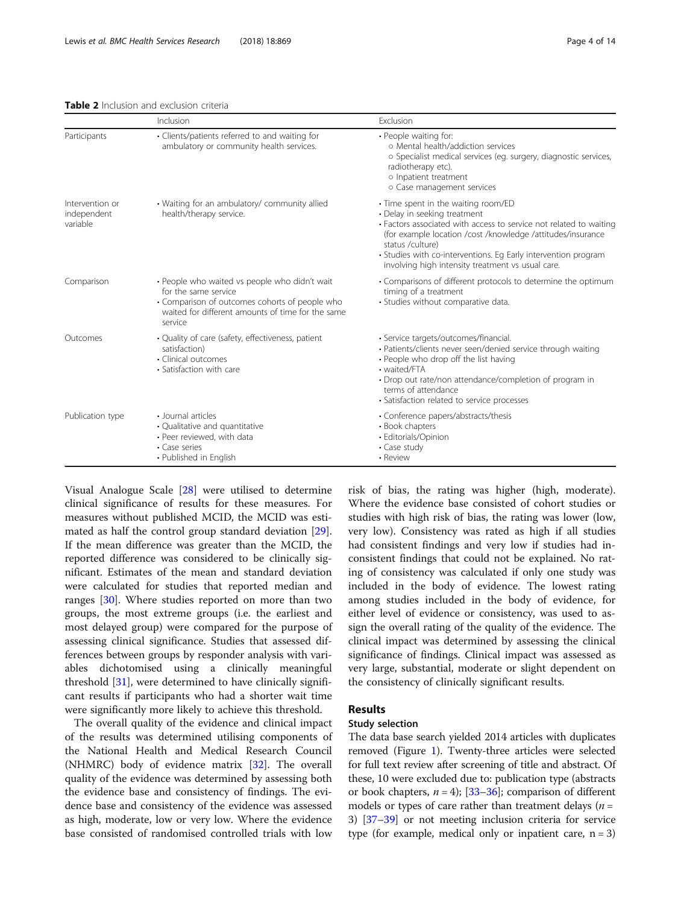## <span id="page-3-0"></span>Table 2 Inclusion and exclusion criteria

|                                            | Inclusion                                                                                                                                                                               | Exclusion                                                                                                                                                                                                                                                                                                                                           |
|--------------------------------------------|-----------------------------------------------------------------------------------------------------------------------------------------------------------------------------------------|-----------------------------------------------------------------------------------------------------------------------------------------------------------------------------------------------------------------------------------------------------------------------------------------------------------------------------------------------------|
| Participants                               | • Clients/patients referred to and waiting for<br>ambulatory or community health services.                                                                                              | • People waiting for:<br>o Mental health/addiction services<br>o Specialist medical services (eg. surgery, diagnostic services,<br>radiotherapy etc).<br>o Inpatient treatment<br>o Case management services                                                                                                                                        |
| Intervention or<br>independent<br>variable | • Waiting for an ambulatory/ community allied<br>health/therapy service.                                                                                                                | · Time spent in the waiting room/ED<br>• Delay in seeking treatment<br>• Factors associated with access to service not related to waiting<br>(for example location /cost /knowledge /attitudes/insurance<br>status /culture)<br>• Studies with co-interventions. Eq Early intervention program<br>involving high intensity treatment vs usual care. |
| Comparison                                 | • People who waited vs people who didn't wait<br>for the same service<br>• Comparison of outcomes cohorts of people who<br>waited for different amounts of time for the same<br>service | • Comparisons of different protocols to determine the optimum<br>timing of a treatment<br>· Studies without comparative data.                                                                                                                                                                                                                       |
| Outcomes                                   | • Quality of care (safety, effectiveness, patient<br>satisfaction)<br>• Clinical outcomes<br>• Satisfaction with care                                                                   | · Service targets/outcomes/financial.<br>· Patients/clients never seen/denied service through waiting<br>• People who drop off the list having<br>• waited/FTA<br>• Drop out rate/non attendance/completion of program in<br>terms of attendance<br>• Satisfaction related to service processes                                                     |
| Publication type                           | · Journal articles<br>• Qualitative and quantitative<br>· Peer reviewed, with data<br>• Case series<br>• Published in English                                                           | • Conference papers/abstracts/thesis<br>• Book chapters<br>• Editorials/Opinion<br>• Case study<br>• Review                                                                                                                                                                                                                                         |

Visual Analogue Scale [[28](#page-12-0)] were utilised to determine clinical significance of results for these measures. For measures without published MCID, the MCID was estimated as half the control group standard deviation [\[29](#page-12-0)]. If the mean difference was greater than the MCID, the reported difference was considered to be clinically significant. Estimates of the mean and standard deviation were calculated for studies that reported median and ranges [\[30](#page-12-0)]. Where studies reported on more than two groups, the most extreme groups (i.e. the earliest and most delayed group) were compared for the purpose of assessing clinical significance. Studies that assessed differences between groups by responder analysis with variables dichotomised using a clinically meaningful threshold [\[31](#page-12-0)], were determined to have clinically significant results if participants who had a shorter wait time were significantly more likely to achieve this threshold.

The overall quality of the evidence and clinical impact of the results was determined utilising components of the National Health and Medical Research Council (NHMRC) body of evidence matrix [[32\]](#page-12-0). The overall quality of the evidence was determined by assessing both the evidence base and consistency of findings. The evidence base and consistency of the evidence was assessed as high, moderate, low or very low. Where the evidence base consisted of randomised controlled trials with low

risk of bias, the rating was higher (high, moderate). Where the evidence base consisted of cohort studies or studies with high risk of bias, the rating was lower (low, very low). Consistency was rated as high if all studies had consistent findings and very low if studies had inconsistent findings that could not be explained. No rating of consistency was calculated if only one study was included in the body of evidence. The lowest rating among studies included in the body of evidence, for either level of evidence or consistency, was used to assign the overall rating of the quality of the evidence. The clinical impact was determined by assessing the clinical significance of findings. Clinical impact was assessed as very large, substantial, moderate or slight dependent on the consistency of clinically significant results.

## Results

## Study selection

The data base search yielded 2014 articles with duplicates removed (Figure [1\)](#page-4-0). Twenty-three articles were selected for full text review after screening of title and abstract. Of these, 10 were excluded due to: publication type (abstracts or book chapters,  $n = 4$ ); [\[33](#page-12-0)–[36](#page-13-0)]; comparison of different models or types of care rather than treatment delays ( $n =$ 3) [\[37](#page-13-0)–[39](#page-13-0)] or not meeting inclusion criteria for service type (for example, medical only or inpatient care,  $n = 3$ )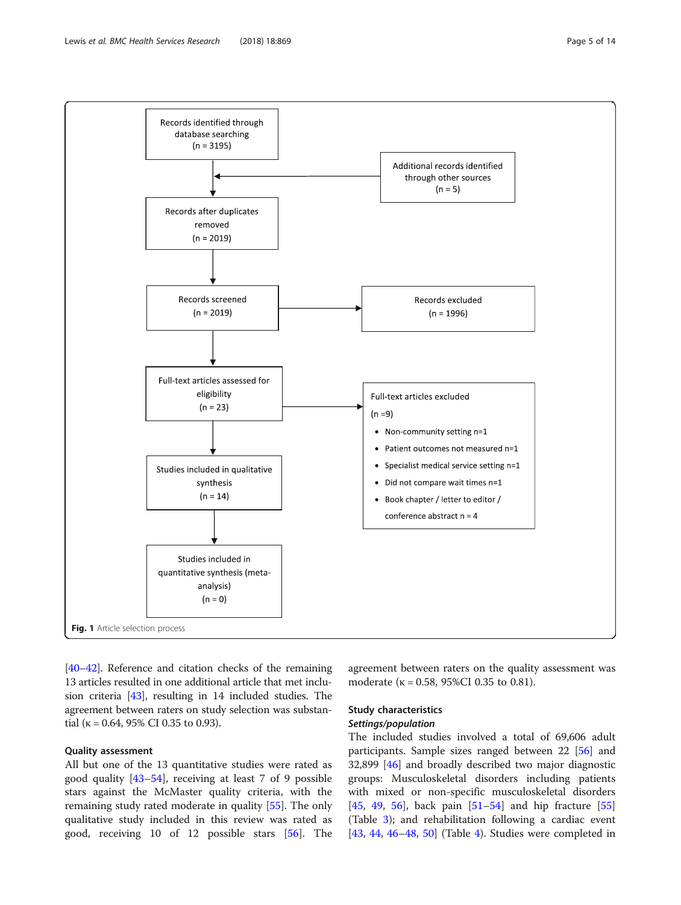<span id="page-4-0"></span>

[[40](#page-13-0)–[42\]](#page-13-0). Reference and citation checks of the remaining 13 articles resulted in one additional article that met inclusion criteria [\[43\]](#page-13-0), resulting in 14 included studies. The agreement between raters on study selection was substantial ( $\kappa = 0.64$ , 95% CI 0.35 to 0.93).

## Quality assessment

All but one of the 13 quantitative studies were rated as good quality [\[43](#page-13-0)–[54\]](#page-13-0), receiving at least 7 of 9 possible stars against the McMaster quality criteria, with the remaining study rated moderate in quality [[55\]](#page-13-0). The only qualitative study included in this review was rated as good, receiving 10 of 12 possible stars [[56](#page-13-0)]. The

agreement between raters on the quality assessment was moderate ( $\kappa = 0.58$ , 95%CI 0.35 to 0.81).

## Study characteristics Settings/population

The included studies involved a total of 69,606 adult participants. Sample sizes ranged between 22 [[56\]](#page-13-0) and 32,899 [\[46](#page-13-0)] and broadly described two major diagnostic groups: Musculoskeletal disorders including patients with mixed or non-specific musculoskeletal disorders [[45,](#page-13-0) [49,](#page-13-0) [56](#page-13-0)], back pain [[51](#page-13-0)–[54](#page-13-0)] and hip fracture [[55](#page-13-0)] (Table [3](#page-5-0)); and rehabilitation following a cardiac event [[43,](#page-13-0) [44](#page-13-0), [46](#page-13-0)–[48](#page-13-0), [50\]](#page-13-0) (Table [4\)](#page-6-0). Studies were completed in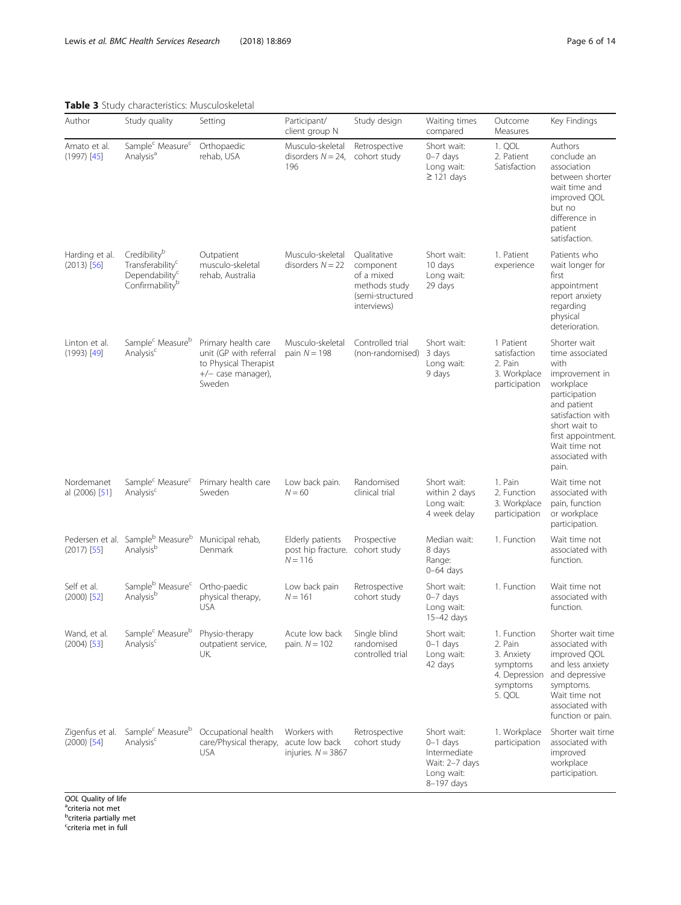## <span id="page-5-0"></span>Table 3 Study characteristics: Musculoskeletal

| Author                           | Study quality                                                                                                         | Setting                                                                                                | Participant/<br>client group N                                   | Study design                                                                               | Waiting times<br>compared                                                               | Outcome<br>Measures                                                                     | Key Findings                                                                                                                                                                                                    |
|----------------------------------|-----------------------------------------------------------------------------------------------------------------------|--------------------------------------------------------------------------------------------------------|------------------------------------------------------------------|--------------------------------------------------------------------------------------------|-----------------------------------------------------------------------------------------|-----------------------------------------------------------------------------------------|-----------------------------------------------------------------------------------------------------------------------------------------------------------------------------------------------------------------|
| Amato et al.<br>$(1997)$ [45]    | Sample <sup>c</sup> Measure <sup>c</sup><br>Analysis <sup>a</sup>                                                     | Orthopaedic<br>rehab, USA                                                                              | Musculo-skeletal<br>disorders $N = 24$ ,<br>196                  | Retrospective<br>cohort study                                                              | Short wait:<br>$0 - 7$ days<br>Long wait:<br>$\geq$ 121 days                            | 1. QOL<br>2. Patient<br>Satisfaction                                                    | Authors<br>conclude an<br>association<br>between shorter<br>wait time and<br>improved QOL<br>but no<br>difference in<br>patient<br>satisfaction.                                                                |
| Harding et al.<br>$(2013)$ [56]  | Credibility <sup>b</sup><br>Transferability <sup>c</sup><br>Dependability <sup>c</sup><br>Confirmability <sup>b</sup> | Outpatient<br>musculo-skeletal<br>rehab, Australia                                                     | Musculo-skeletal<br>disorders $N = 22$                           | Qualitative<br>component<br>of a mixed<br>methods study<br>(semi-structured<br>interviews) | Short wait:<br>10 days<br>Long wait:<br>29 days                                         | 1. Patient<br>experience                                                                | Patients who<br>wait longer for<br>first<br>appointment<br>report anxiety<br>regarding<br>physical<br>deterioration.                                                                                            |
| Linton et al.<br>$(1993)$ [49]   | Sample <sup>c</sup> Measure <sup>b</sup><br>Analysis <sup>c</sup>                                                     | Primary health care<br>unit (GP with referral<br>to Physical Therapist<br>+/- case manager),<br>Sweden | Musculo-skeletal<br>pain $N = 198$                               | Controlled trial<br>(non-randomised)                                                       | Short wait:<br>3 days<br>Long wait:<br>9 days                                           | 1 Patient<br>satisfaction<br>2. Pain<br>3. Workplace<br>participation                   | Shorter wait<br>time associated<br>with<br>improvement in<br>workplace<br>participation<br>and patient<br>satisfaction with<br>short wait to<br>first appointment.<br>Wait time not<br>associated with<br>pain. |
| Nordemanet<br>al (2006) [51]     | Sample <sup>c</sup> Measure <sup>c</sup><br>Analysis <sup>c</sup>                                                     | Primary health care<br>Sweden                                                                          | Low back pain.<br>$N = 60$                                       | Randomised<br>clinical trial                                                               | Short wait:<br>within 2 days<br>Long wait:<br>4 week delay                              | 1. Pain<br>2. Function<br>3. Workplace<br>participation                                 | Wait time not<br>associated with<br>pain, function<br>or workplace<br>participation.                                                                                                                            |
| Pedersen et al.<br>$(2017)$ [55] | Sample <sup>b</sup> Measure <sup>b</sup><br>Analysisb                                                                 | Municipal rehab,<br>Denmark                                                                            | Elderly patients<br>post hip fracture. cohort study<br>$N = 116$ | Prospective                                                                                | Median wait:<br>8 days<br>Range:<br>$0-64$ days                                         | 1. Function                                                                             | Wait time not<br>associated with<br>function.                                                                                                                                                                   |
| Self et al.<br>$(2000)$ [52]     | Sample <sup>b</sup> Measure <sup>c</sup><br>Analysisb                                                                 | Ortho-paedic<br>physical therapy,<br><b>USA</b>                                                        | Low back pain<br>$N = 161$                                       | Retrospective<br>cohort study                                                              | Short wait:<br>$0 - 7$ days<br>Long wait:<br>15-42 days                                 | 1. Function                                                                             | Wait time not<br>associated with<br>function.                                                                                                                                                                   |
| Wand, et al.<br>$(2004)$ [53]    | Sample <sup>c</sup> Measure <sup>b</sup><br>Analysis <sup>c</sup>                                                     | Physio-therapy<br>outpatient service,<br>UK.                                                           | Acute low back<br>pain. $N = 102$                                | Single blind<br>randomised<br>controlled trial                                             | Short wait:<br>$0-1$ days<br>Long wait:<br>42 days                                      | 1. Function<br>2. Pain<br>3. Anxiety<br>symptoms<br>4. Depression<br>symptoms<br>5. QOL | Shorter wait time<br>associated with<br>improved QOL<br>and less anxiety<br>and depressive<br>symptoms.<br>Wait time not<br>associated with<br>function or pain.                                                |
| Zigenfus et al.<br>$(2000)$ [54] | Sample <sup>c</sup> Measure <sup>b</sup><br>Analysis <sup>c</sup>                                                     | Occupational health<br>care/Physical therapy,<br><b>USA</b>                                            | Workers with<br>acute low back<br>injuries. $N = 3867$           | Retrospective<br>cohort study                                                              | Short wait:<br>$0-1$ days<br>Intermediate<br>Wait: 2-7 days<br>Long wait:<br>8-197 days | 1. Workplace<br>participation                                                           | Shorter wait time<br>associated with<br>improved<br>workplace<br>participation.                                                                                                                                 |

QOL Quality of life<br><sup>a</sup>criteria not met<br><sup>b</sup>criteria partially met<br><sup>c</sup>criteria met in full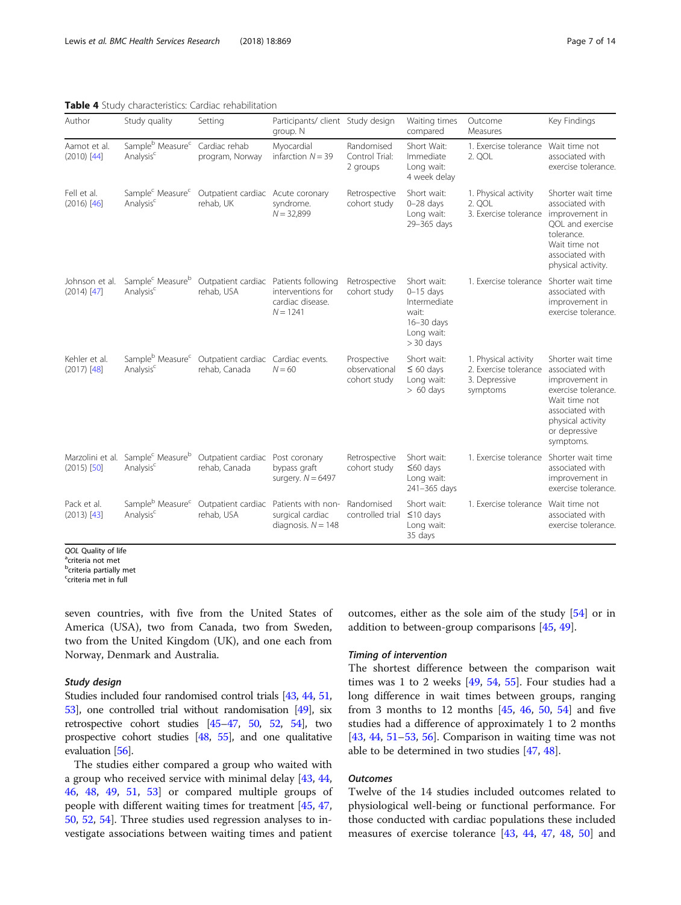Marzolini et al. Sample<sup>c</sup> Measure<sup>b</sup>

Analysis<sup>c</sup>

Sample<sup>b</sup> Measure<sup>c</sup> Analysis<sup>c</sup>

Sample<sup>b</sup> Measure<sup>c</sup> Analysis<sup>c</sup>

<span id="page-6-0"></span>Author Study quality Setting Participants/ client Study design

Outpatient cardiac Cardiac events.

Outpatient cardiac Post coronary

 $N = 60$ 

bypass graft surgery.  $N = 6497$ 

Patients with nonsurgical cardiac diagnosis.  $N = 148$ 

rehab, Canada

rehab, Canada

Outpatient cardiac rehab, USA

|                                                                                 |                                                     | group. N                                            |                                          | compared                                                                                           | Measures                                                |                                                                                                                                                    |
|---------------------------------------------------------------------------------|-----------------------------------------------------|-----------------------------------------------------|------------------------------------------|----------------------------------------------------------------------------------------------------|---------------------------------------------------------|----------------------------------------------------------------------------------------------------------------------------------------------------|
| Sample <sup>b</sup> Measure <sup>c</sup> Cardiac rehab<br>Analysis <sup>c</sup> | program, Norway                                     | Myocardial<br>infarction $N = 39$                   | Randomised<br>Control Trial:<br>2 groups | Short Wait:<br>Immediate<br>Long wait:<br>4 week delay                                             | 1. Exercise tolerance<br>2. OOL                         | Wait time not<br>associated with<br>exercise tolerance                                                                                             |
| Sample <sup>c</sup> Measure <sup>c</sup><br>Analysis <sup>c</sup>               | Outpatient cardiac<br>rehab, UK                     | Acute coronary<br>syndrome.<br>$N = 32,899$         | Retrospective<br>cohort study            | Short wait:<br>$0 - 28$ days<br>Long wait:<br>29-365 days                                          | 1. Physical activity<br>2. QOL<br>3. Exercise tolerance | Shorter wait time<br>associated with<br>improvement in<br>OOL and exercise<br>tolerance.<br>Wait time not<br>associated with<br>physical activity. |
| Sample <sup>c</sup> Measure <sup>b</sup><br>Analysis <sup>c</sup>               | Outpatient cardiac Patients following<br>rehab, USA | interventions for<br>cardiac disease.<br>$N = 1241$ | Retrospective<br>cohort study            | Short wait:<br>$0-15$ days<br>Intermediate<br>wait:<br>$16 - 30$ days<br>Long wait:<br>$>$ 30 days | 1. Exercise tolerance                                   | Shorter wait time<br>associated with<br>improvement in<br>exercise tolerance                                                                       |

Short wait: ≤ 60 days Long wait:  $> 60$  days

Short wait: ≤60 days Long wait: 241–365 days

Short wait: ≤10 days Long wait: 35 days

Prospective observational cohort study

Retrospective cohort study

Randomised controlled trial Waiting times

Outcome

1. Physical activity

3. Depressive symptoms

2. Exercise tolerance associated with

1. Exercise tolerance Shorter wait time

1. Exercise tolerance Wait time not

Shorter wait time improvement in exercise tolerance. Wait time not associated with physical activity or depressive symptoms.

associated with improvement in exercise tolerance.

associated with exercise tolerance.

OOL Quality of life

Aamot et al. (2010) [[44](#page-13-0)]

Fell et al. (2016) [[46](#page-13-0)]

Johnson et al. (2014) [[47](#page-13-0)]

Kehler et al. (2017) [[48](#page-13-0)]

(2015) [[50](#page-13-0)]

Pack et al. (2013) [[43](#page-13-0)]

<sup>a</sup>criteria not met

<sup>b</sup>criteria partially met

<sup>c</sup>criteria met in full

seven countries, with five from the United States of America (USA), two from Canada, two from Sweden, two from the United Kingdom (UK), and one each from Norway, Denmark and Australia.

## Study design

Studies included four randomised control trials [\[43](#page-13-0), [44,](#page-13-0) [51](#page-13-0), [53](#page-13-0)], one controlled trial without randomisation [\[49\]](#page-13-0), six retrospective cohort studies [[45](#page-13-0)–[47](#page-13-0), [50,](#page-13-0) [52](#page-13-0), [54\]](#page-13-0), two prospective cohort studies [\[48,](#page-13-0) [55\]](#page-13-0), and one qualitative evaluation [\[56\]](#page-13-0).

The studies either compared a group who waited with a group who received service with minimal delay [[43](#page-13-0), [44](#page-13-0), [46,](#page-13-0) [48](#page-13-0), [49](#page-13-0), [51](#page-13-0), [53](#page-13-0)] or compared multiple groups of people with different waiting times for treatment [[45](#page-13-0), [47](#page-13-0), [50,](#page-13-0) [52,](#page-13-0) [54\]](#page-13-0). Three studies used regression analyses to investigate associations between waiting times and patient outcomes, either as the sole aim of the study [\[54](#page-13-0)] or in addition to between-group comparisons [[45](#page-13-0), [49](#page-13-0)].

## Timing of intervention

The shortest difference between the comparison wait times was 1 to 2 weeks  $[49, 54, 55]$  $[49, 54, 55]$  $[49, 54, 55]$  $[49, 54, 55]$  $[49, 54, 55]$  $[49, 54, 55]$ . Four studies had a long difference in wait times between groups, ranging from 3 months to 12 months  $[45, 46, 50, 54]$  $[45, 46, 50, 54]$  $[45, 46, 50, 54]$  $[45, 46, 50, 54]$  $[45, 46, 50, 54]$  $[45, 46, 50, 54]$  $[45, 46, 50, 54]$  $[45, 46, 50, 54]$  $[45, 46, 50, 54]$  and five studies had a difference of approximately 1 to 2 months [[43,](#page-13-0) [44,](#page-13-0) [51](#page-13-0)–[53,](#page-13-0) [56](#page-13-0)]. Comparison in waiting time was not able to be determined in two studies [[47](#page-13-0), [48](#page-13-0)].

## **Outcomes**

Twelve of the 14 studies included outcomes related to physiological well-being or functional performance. For those conducted with cardiac populations these included measures of exercise tolerance [\[43,](#page-13-0) [44](#page-13-0), [47](#page-13-0), [48,](#page-13-0) [50](#page-13-0)] and

Key Findings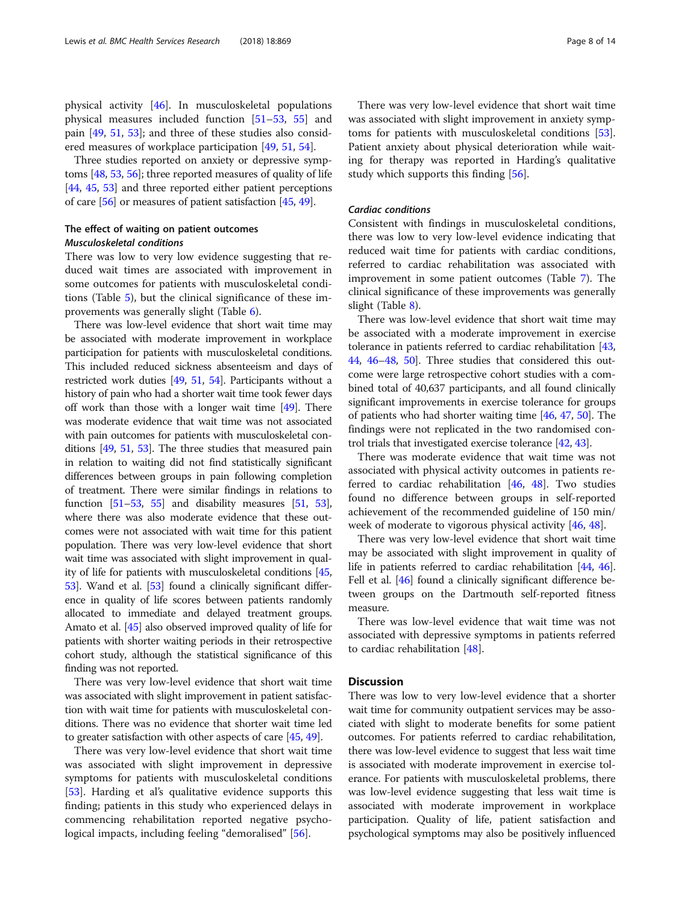physical activity [[46](#page-13-0)]. In musculoskeletal populations physical measures included function [\[51](#page-13-0)–[53,](#page-13-0) [55\]](#page-13-0) and pain [[49,](#page-13-0) [51](#page-13-0), [53\]](#page-13-0); and three of these studies also considered measures of workplace participation [[49](#page-13-0), [51](#page-13-0), [54](#page-13-0)].

Three studies reported on anxiety or depressive symptoms [\[48,](#page-13-0) [53](#page-13-0), [56\]](#page-13-0); three reported measures of quality of life [[44](#page-13-0), [45,](#page-13-0) [53\]](#page-13-0) and three reported either patient perceptions of care [\[56\]](#page-13-0) or measures of patient satisfaction [\[45,](#page-13-0) [49](#page-13-0)].

## The effect of waiting on patient outcomes Musculoskeletal conditions

There was low to very low evidence suggesting that reduced wait times are associated with improvement in some outcomes for patients with musculoskeletal conditions (Table [5](#page-8-0)), but the clinical significance of these improvements was generally slight (Table [6](#page-9-0)).

There was low-level evidence that short wait time may be associated with moderate improvement in workplace participation for patients with musculoskeletal conditions. This included reduced sickness absenteeism and days of restricted work duties [\[49](#page-13-0), [51,](#page-13-0) [54](#page-13-0)]. Participants without a history of pain who had a shorter wait time took fewer days off work than those with a longer wait time [\[49\]](#page-13-0). There was moderate evidence that wait time was not associated with pain outcomes for patients with musculoskeletal conditions [\[49,](#page-13-0) [51,](#page-13-0) [53\]](#page-13-0). The three studies that measured pain in relation to waiting did not find statistically significant differences between groups in pain following completion of treatment. There were similar findings in relations to function  $[51–53, 55]$  $[51–53, 55]$  $[51–53, 55]$  $[51–53, 55]$  $[51–53, 55]$  $[51–53, 55]$  $[51–53, 55]$  and disability measures  $[51, 53]$  $[51, 53]$  $[51, 53]$  $[51, 53]$ , where there was also moderate evidence that these outcomes were not associated with wait time for this patient population. There was very low-level evidence that short wait time was associated with slight improvement in quality of life for patients with musculoskeletal conditions [\[45](#page-13-0), [53](#page-13-0)]. Wand et al. [\[53\]](#page-13-0) found a clinically significant difference in quality of life scores between patients randomly allocated to immediate and delayed treatment groups. Amato et al. [[45](#page-13-0)] also observed improved quality of life for patients with shorter waiting periods in their retrospective cohort study, although the statistical significance of this finding was not reported.

There was very low-level evidence that short wait time was associated with slight improvement in patient satisfaction with wait time for patients with musculoskeletal conditions. There was no evidence that shorter wait time led to greater satisfaction with other aspects of care [\[45,](#page-13-0) [49](#page-13-0)].

There was very low-level evidence that short wait time was associated with slight improvement in depressive symptoms for patients with musculoskeletal conditions [[53\]](#page-13-0). Harding et al's qualitative evidence supports this finding; patients in this study who experienced delays in commencing rehabilitation reported negative psychological impacts, including feeling "demoralised" [[56\]](#page-13-0).

There was very low-level evidence that short wait time was associated with slight improvement in anxiety symptoms for patients with musculoskeletal conditions [\[53](#page-13-0)]. Patient anxiety about physical deterioration while waiting for therapy was reported in Harding's qualitative study which supports this finding [[56\]](#page-13-0).

### Cardiac conditions

Consistent with findings in musculoskeletal conditions, there was low to very low-level evidence indicating that reduced wait time for patients with cardiac conditions, referred to cardiac rehabilitation was associated with improvement in some patient outcomes (Table [7\)](#page-10-0). The clinical significance of these improvements was generally slight (Table [8\)](#page-10-0).

There was low-level evidence that short wait time may be associated with a moderate improvement in exercise tolerance in patients referred to cardiac rehabilitation [[43](#page-13-0), [44](#page-13-0), [46](#page-13-0)–[48](#page-13-0), [50\]](#page-13-0). Three studies that considered this outcome were large retrospective cohort studies with a combined total of 40,637 participants, and all found clinically significant improvements in exercise tolerance for groups of patients who had shorter waiting time [\[46](#page-13-0), [47,](#page-13-0) [50](#page-13-0)]. The findings were not replicated in the two randomised control trials that investigated exercise tolerance [[42](#page-13-0), [43\]](#page-13-0).

There was moderate evidence that wait time was not associated with physical activity outcomes in patients referred to cardiac rehabilitation  $[46, 48]$  $[46, 48]$  $[46, 48]$ . Two studies found no difference between groups in self-reported achievement of the recommended guideline of 150 min/ week of moderate to vigorous physical activity [\[46](#page-13-0), [48](#page-13-0)].

There was very low-level evidence that short wait time may be associated with slight improvement in quality of life in patients referred to cardiac rehabilitation [\[44,](#page-13-0) [46](#page-13-0)]. Fell et al. [[46\]](#page-13-0) found a clinically significant difference between groups on the Dartmouth self-reported fitness measure.

There was low-level evidence that wait time was not associated with depressive symptoms in patients referred to cardiac rehabilitation [\[48](#page-13-0)].

## **Discussion**

There was low to very low-level evidence that a shorter wait time for community outpatient services may be associated with slight to moderate benefits for some patient outcomes. For patients referred to cardiac rehabilitation, there was low-level evidence to suggest that less wait time is associated with moderate improvement in exercise tolerance. For patients with musculoskeletal problems, there was low-level evidence suggesting that less wait time is associated with moderate improvement in workplace participation. Quality of life, patient satisfaction and psychological symptoms may also be positively influenced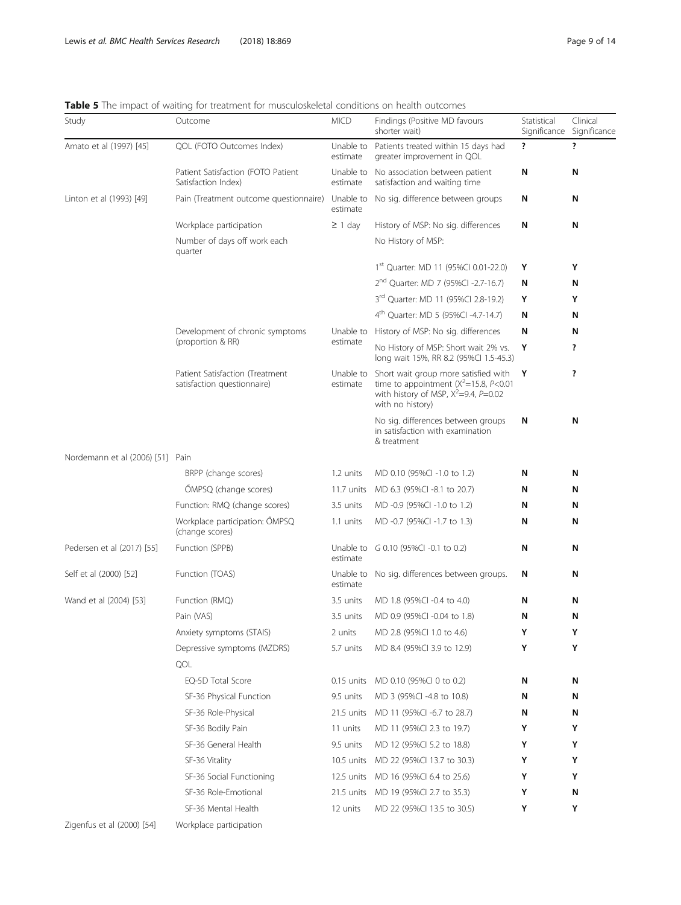| $\overline{\mathbf{?}}$<br>Amato et al (1997) [45]<br>QOL (FOTO Outcomes Index)<br>Unable to Patients treated within 15 days had<br>?<br>greater improvement in QOL<br>estimate<br>Patient Satisfaction (FOTO Patient<br>Unable to<br>No association between patient<br>N<br>N<br>Satisfaction Index)<br>satisfaction and waiting time<br>estimate<br>Pain (Treatment outcome questionnaire)<br>Unable to<br>No sig. difference between groups<br>N<br>Linton et al (1993) [49]<br>N<br>estimate<br>Workplace participation<br>$\geq$ 1 day<br>History of MSP: No sig. differences<br>N<br>N<br>Number of days off work each<br>No History of MSP:<br>quarter<br>1st Quarter: MD 11 (95%Cl 0.01-22.0)<br>Υ<br>Y<br>2 <sup>nd</sup> Quarter: MD 7 (95%Cl -2.7-16.7)<br>N<br>N<br>3rd Quarter: MD 11 (95%Cl 2.8-19.2)<br>Y<br>Υ<br>4 <sup>th</sup> Quarter: MD 5 (95%Cl -4.7-14.7)<br>N<br>N<br>History of MSP: No sig. differences<br>Development of chronic symptoms<br>Unable to<br>N<br>N<br>(proportion & RR)<br>estimate<br>No History of MSP: Short wait 2% vs.<br>Υ<br>?<br>long wait 15%, RR 8.2 (95%Cl 1.5-45.3)<br>Short wait group more satisfied with<br>?<br>Patient Satisfaction (Treatment<br>Unable to<br>Y<br>time to appointment ( $X^2$ =15.8, P<0.01<br>satisfaction questionnaire)<br>estimate<br>with history of MSP, $X^2=9.4$ , $P=0.02$<br>with no history)<br>No sig. differences between groups<br>N<br>N<br>in satisfaction with examination<br>& treatment<br>Nordemann et al (2006) [51] Pain<br>MD 0.10 (95%CI -1.0 to 1.2)<br>BRPP (change scores)<br>1.2 units<br>N<br>N<br>ÖMPSQ (change scores)<br>MD 6.3 (95%Cl -8.1 to 20.7)<br>11.7 units<br>N<br>N<br>Function: RMQ (change scores)<br>MD -0.9 (95%Cl -1.0 to 1.2)<br>N<br>N<br>3.5 units<br>Workplace participation: OMPSQ<br>MD -0.7 (95%Cl -1.7 to 1.3)<br>N<br>N<br>1.1 units<br>(change scores)<br>Pedersen et al (2017) [55]<br>Function (SPPB)<br>Unable to G 0.10 (95%CI -0.1 to 0.2)<br>N<br>N<br>estimate<br>Self et al (2000) [52]<br>Function (TOAS)<br>No sig. differences between groups.<br>N<br>N<br>Unable to<br>estimate<br>Wand et al (2004) [53]<br>Function (RMQ)<br>3.5 units<br>MD 1.8 (95%Cl -0.4 to 4.0)<br>N<br>N<br>Pain (VAS)<br>3.5 units<br>MD 0.9 (95%CI -0.04 to 1.8)<br>N<br>N<br>Anxiety symptoms (STAIS)<br>Y<br>2 units<br>MD 2.8 (95%Cl 1.0 to 4.6)<br>Y<br>Depressive symptoms (MZDRS)<br>Y<br>Y<br>5.7 units<br>MD 8.4 (95%Cl 3.9 to 12.9)<br>QOL<br>EQ-5D Total Score<br>MD 0.10 (95%Cl 0 to 0.2)<br>Ν<br>$0.15$ units<br>N<br>SF-36 Physical Function<br>9.5 units<br>MD 3 (95%Cl -4.8 to 10.8)<br>N<br>N<br>SF-36 Role-Physical<br>MD 11 (95%Cl -6.7 to 28.7)<br>21.5 units<br>N<br>N<br>SF-36 Bodily Pain<br>11 units<br>MD 11 (95%Cl 2.3 to 19.7)<br>Y<br>Y<br>SF-36 General Health<br>9.5 units<br>Y<br>Υ<br>MD 12 (95%CI 5.2 to 18.8)<br>SF-36 Vitality<br>MD 22 (95%Cl 13.7 to 30.3)<br>Y<br>Υ<br>10.5 units<br>SF-36 Social Functioning<br>12.5 units<br>MD 16 (95%Cl 6.4 to 25.6)<br>Y<br>Y<br>SF-36 Role-Emotional<br>21.5 units<br>MD 19 (95%Cl 2.7 to 35.3)<br>Υ<br>N<br>Υ<br>SF-36 Mental Health<br>12 units<br>MD 22 (95%Cl 13.5 to 30.5)<br>Y | Study | <b>TWOLF S</b> THE IMpact of Walting for treatment for masculositeicial conditions on nearth outcomes<br>Outcome | <b>MICD</b> | Findings (Positive MD favours<br>shorter wait) | Statistical | Clinical<br>Significance Significance |
|--------------------------------------------------------------------------------------------------------------------------------------------------------------------------------------------------------------------------------------------------------------------------------------------------------------------------------------------------------------------------------------------------------------------------------------------------------------------------------------------------------------------------------------------------------------------------------------------------------------------------------------------------------------------------------------------------------------------------------------------------------------------------------------------------------------------------------------------------------------------------------------------------------------------------------------------------------------------------------------------------------------------------------------------------------------------------------------------------------------------------------------------------------------------------------------------------------------------------------------------------------------------------------------------------------------------------------------------------------------------------------------------------------------------------------------------------------------------------------------------------------------------------------------------------------------------------------------------------------------------------------------------------------------------------------------------------------------------------------------------------------------------------------------------------------------------------------------------------------------------------------------------------------------------------------------------------------------------------------------------------------------------------------------------------------------------------------------------------------------------------------------------------------------------------------------------------------------------------------------------------------------------------------------------------------------------------------------------------------------------------------------------------------------------------------------------------------------------------------------------------------------------------------------------------------------------------------------------------------------------------------------------------------------------------------------------------------------------------------------------------------------------------------------------------------------------------------------------------------------------------------------------------------------------------------------------------------------------------------------------------------------------------------------------------------------------------------------------------------------------------------------------------------------------------------------------|-------|------------------------------------------------------------------------------------------------------------------|-------------|------------------------------------------------|-------------|---------------------------------------|
|                                                                                                                                                                                                                                                                                                                                                                                                                                                                                                                                                                                                                                                                                                                                                                                                                                                                                                                                                                                                                                                                                                                                                                                                                                                                                                                                                                                                                                                                                                                                                                                                                                                                                                                                                                                                                                                                                                                                                                                                                                                                                                                                                                                                                                                                                                                                                                                                                                                                                                                                                                                                                                                                                                                                                                                                                                                                                                                                                                                                                                                                                                                                                                                            |       |                                                                                                                  |             |                                                |             |                                       |
|                                                                                                                                                                                                                                                                                                                                                                                                                                                                                                                                                                                                                                                                                                                                                                                                                                                                                                                                                                                                                                                                                                                                                                                                                                                                                                                                                                                                                                                                                                                                                                                                                                                                                                                                                                                                                                                                                                                                                                                                                                                                                                                                                                                                                                                                                                                                                                                                                                                                                                                                                                                                                                                                                                                                                                                                                                                                                                                                                                                                                                                                                                                                                                                            |       |                                                                                                                  |             |                                                |             |                                       |
|                                                                                                                                                                                                                                                                                                                                                                                                                                                                                                                                                                                                                                                                                                                                                                                                                                                                                                                                                                                                                                                                                                                                                                                                                                                                                                                                                                                                                                                                                                                                                                                                                                                                                                                                                                                                                                                                                                                                                                                                                                                                                                                                                                                                                                                                                                                                                                                                                                                                                                                                                                                                                                                                                                                                                                                                                                                                                                                                                                                                                                                                                                                                                                                            |       |                                                                                                                  |             |                                                |             |                                       |
|                                                                                                                                                                                                                                                                                                                                                                                                                                                                                                                                                                                                                                                                                                                                                                                                                                                                                                                                                                                                                                                                                                                                                                                                                                                                                                                                                                                                                                                                                                                                                                                                                                                                                                                                                                                                                                                                                                                                                                                                                                                                                                                                                                                                                                                                                                                                                                                                                                                                                                                                                                                                                                                                                                                                                                                                                                                                                                                                                                                                                                                                                                                                                                                            |       |                                                                                                                  |             |                                                |             |                                       |
|                                                                                                                                                                                                                                                                                                                                                                                                                                                                                                                                                                                                                                                                                                                                                                                                                                                                                                                                                                                                                                                                                                                                                                                                                                                                                                                                                                                                                                                                                                                                                                                                                                                                                                                                                                                                                                                                                                                                                                                                                                                                                                                                                                                                                                                                                                                                                                                                                                                                                                                                                                                                                                                                                                                                                                                                                                                                                                                                                                                                                                                                                                                                                                                            |       |                                                                                                                  |             |                                                |             |                                       |
|                                                                                                                                                                                                                                                                                                                                                                                                                                                                                                                                                                                                                                                                                                                                                                                                                                                                                                                                                                                                                                                                                                                                                                                                                                                                                                                                                                                                                                                                                                                                                                                                                                                                                                                                                                                                                                                                                                                                                                                                                                                                                                                                                                                                                                                                                                                                                                                                                                                                                                                                                                                                                                                                                                                                                                                                                                                                                                                                                                                                                                                                                                                                                                                            |       |                                                                                                                  |             |                                                |             |                                       |
|                                                                                                                                                                                                                                                                                                                                                                                                                                                                                                                                                                                                                                                                                                                                                                                                                                                                                                                                                                                                                                                                                                                                                                                                                                                                                                                                                                                                                                                                                                                                                                                                                                                                                                                                                                                                                                                                                                                                                                                                                                                                                                                                                                                                                                                                                                                                                                                                                                                                                                                                                                                                                                                                                                                                                                                                                                                                                                                                                                                                                                                                                                                                                                                            |       |                                                                                                                  |             |                                                |             |                                       |
|                                                                                                                                                                                                                                                                                                                                                                                                                                                                                                                                                                                                                                                                                                                                                                                                                                                                                                                                                                                                                                                                                                                                                                                                                                                                                                                                                                                                                                                                                                                                                                                                                                                                                                                                                                                                                                                                                                                                                                                                                                                                                                                                                                                                                                                                                                                                                                                                                                                                                                                                                                                                                                                                                                                                                                                                                                                                                                                                                                                                                                                                                                                                                                                            |       |                                                                                                                  |             |                                                |             |                                       |
|                                                                                                                                                                                                                                                                                                                                                                                                                                                                                                                                                                                                                                                                                                                                                                                                                                                                                                                                                                                                                                                                                                                                                                                                                                                                                                                                                                                                                                                                                                                                                                                                                                                                                                                                                                                                                                                                                                                                                                                                                                                                                                                                                                                                                                                                                                                                                                                                                                                                                                                                                                                                                                                                                                                                                                                                                                                                                                                                                                                                                                                                                                                                                                                            |       |                                                                                                                  |             |                                                |             |                                       |
|                                                                                                                                                                                                                                                                                                                                                                                                                                                                                                                                                                                                                                                                                                                                                                                                                                                                                                                                                                                                                                                                                                                                                                                                                                                                                                                                                                                                                                                                                                                                                                                                                                                                                                                                                                                                                                                                                                                                                                                                                                                                                                                                                                                                                                                                                                                                                                                                                                                                                                                                                                                                                                                                                                                                                                                                                                                                                                                                                                                                                                                                                                                                                                                            |       |                                                                                                                  |             |                                                |             |                                       |
|                                                                                                                                                                                                                                                                                                                                                                                                                                                                                                                                                                                                                                                                                                                                                                                                                                                                                                                                                                                                                                                                                                                                                                                                                                                                                                                                                                                                                                                                                                                                                                                                                                                                                                                                                                                                                                                                                                                                                                                                                                                                                                                                                                                                                                                                                                                                                                                                                                                                                                                                                                                                                                                                                                                                                                                                                                                                                                                                                                                                                                                                                                                                                                                            |       |                                                                                                                  |             |                                                |             |                                       |
|                                                                                                                                                                                                                                                                                                                                                                                                                                                                                                                                                                                                                                                                                                                                                                                                                                                                                                                                                                                                                                                                                                                                                                                                                                                                                                                                                                                                                                                                                                                                                                                                                                                                                                                                                                                                                                                                                                                                                                                                                                                                                                                                                                                                                                                                                                                                                                                                                                                                                                                                                                                                                                                                                                                                                                                                                                                                                                                                                                                                                                                                                                                                                                                            |       |                                                                                                                  |             |                                                |             |                                       |
|                                                                                                                                                                                                                                                                                                                                                                                                                                                                                                                                                                                                                                                                                                                                                                                                                                                                                                                                                                                                                                                                                                                                                                                                                                                                                                                                                                                                                                                                                                                                                                                                                                                                                                                                                                                                                                                                                                                                                                                                                                                                                                                                                                                                                                                                                                                                                                                                                                                                                                                                                                                                                                                                                                                                                                                                                                                                                                                                                                                                                                                                                                                                                                                            |       |                                                                                                                  |             |                                                |             |                                       |
|                                                                                                                                                                                                                                                                                                                                                                                                                                                                                                                                                                                                                                                                                                                                                                                                                                                                                                                                                                                                                                                                                                                                                                                                                                                                                                                                                                                                                                                                                                                                                                                                                                                                                                                                                                                                                                                                                                                                                                                                                                                                                                                                                                                                                                                                                                                                                                                                                                                                                                                                                                                                                                                                                                                                                                                                                                                                                                                                                                                                                                                                                                                                                                                            |       |                                                                                                                  |             |                                                |             |                                       |
|                                                                                                                                                                                                                                                                                                                                                                                                                                                                                                                                                                                                                                                                                                                                                                                                                                                                                                                                                                                                                                                                                                                                                                                                                                                                                                                                                                                                                                                                                                                                                                                                                                                                                                                                                                                                                                                                                                                                                                                                                                                                                                                                                                                                                                                                                                                                                                                                                                                                                                                                                                                                                                                                                                                                                                                                                                                                                                                                                                                                                                                                                                                                                                                            |       |                                                                                                                  |             |                                                |             |                                       |
|                                                                                                                                                                                                                                                                                                                                                                                                                                                                                                                                                                                                                                                                                                                                                                                                                                                                                                                                                                                                                                                                                                                                                                                                                                                                                                                                                                                                                                                                                                                                                                                                                                                                                                                                                                                                                                                                                                                                                                                                                                                                                                                                                                                                                                                                                                                                                                                                                                                                                                                                                                                                                                                                                                                                                                                                                                                                                                                                                                                                                                                                                                                                                                                            |       |                                                                                                                  |             |                                                |             |                                       |
|                                                                                                                                                                                                                                                                                                                                                                                                                                                                                                                                                                                                                                                                                                                                                                                                                                                                                                                                                                                                                                                                                                                                                                                                                                                                                                                                                                                                                                                                                                                                                                                                                                                                                                                                                                                                                                                                                                                                                                                                                                                                                                                                                                                                                                                                                                                                                                                                                                                                                                                                                                                                                                                                                                                                                                                                                                                                                                                                                                                                                                                                                                                                                                                            |       |                                                                                                                  |             |                                                |             |                                       |
|                                                                                                                                                                                                                                                                                                                                                                                                                                                                                                                                                                                                                                                                                                                                                                                                                                                                                                                                                                                                                                                                                                                                                                                                                                                                                                                                                                                                                                                                                                                                                                                                                                                                                                                                                                                                                                                                                                                                                                                                                                                                                                                                                                                                                                                                                                                                                                                                                                                                                                                                                                                                                                                                                                                                                                                                                                                                                                                                                                                                                                                                                                                                                                                            |       |                                                                                                                  |             |                                                |             |                                       |
|                                                                                                                                                                                                                                                                                                                                                                                                                                                                                                                                                                                                                                                                                                                                                                                                                                                                                                                                                                                                                                                                                                                                                                                                                                                                                                                                                                                                                                                                                                                                                                                                                                                                                                                                                                                                                                                                                                                                                                                                                                                                                                                                                                                                                                                                                                                                                                                                                                                                                                                                                                                                                                                                                                                                                                                                                                                                                                                                                                                                                                                                                                                                                                                            |       |                                                                                                                  |             |                                                |             |                                       |
|                                                                                                                                                                                                                                                                                                                                                                                                                                                                                                                                                                                                                                                                                                                                                                                                                                                                                                                                                                                                                                                                                                                                                                                                                                                                                                                                                                                                                                                                                                                                                                                                                                                                                                                                                                                                                                                                                                                                                                                                                                                                                                                                                                                                                                                                                                                                                                                                                                                                                                                                                                                                                                                                                                                                                                                                                                                                                                                                                                                                                                                                                                                                                                                            |       |                                                                                                                  |             |                                                |             |                                       |
|                                                                                                                                                                                                                                                                                                                                                                                                                                                                                                                                                                                                                                                                                                                                                                                                                                                                                                                                                                                                                                                                                                                                                                                                                                                                                                                                                                                                                                                                                                                                                                                                                                                                                                                                                                                                                                                                                                                                                                                                                                                                                                                                                                                                                                                                                                                                                                                                                                                                                                                                                                                                                                                                                                                                                                                                                                                                                                                                                                                                                                                                                                                                                                                            |       |                                                                                                                  |             |                                                |             |                                       |
|                                                                                                                                                                                                                                                                                                                                                                                                                                                                                                                                                                                                                                                                                                                                                                                                                                                                                                                                                                                                                                                                                                                                                                                                                                                                                                                                                                                                                                                                                                                                                                                                                                                                                                                                                                                                                                                                                                                                                                                                                                                                                                                                                                                                                                                                                                                                                                                                                                                                                                                                                                                                                                                                                                                                                                                                                                                                                                                                                                                                                                                                                                                                                                                            |       |                                                                                                                  |             |                                                |             |                                       |
|                                                                                                                                                                                                                                                                                                                                                                                                                                                                                                                                                                                                                                                                                                                                                                                                                                                                                                                                                                                                                                                                                                                                                                                                                                                                                                                                                                                                                                                                                                                                                                                                                                                                                                                                                                                                                                                                                                                                                                                                                                                                                                                                                                                                                                                                                                                                                                                                                                                                                                                                                                                                                                                                                                                                                                                                                                                                                                                                                                                                                                                                                                                                                                                            |       |                                                                                                                  |             |                                                |             |                                       |
|                                                                                                                                                                                                                                                                                                                                                                                                                                                                                                                                                                                                                                                                                                                                                                                                                                                                                                                                                                                                                                                                                                                                                                                                                                                                                                                                                                                                                                                                                                                                                                                                                                                                                                                                                                                                                                                                                                                                                                                                                                                                                                                                                                                                                                                                                                                                                                                                                                                                                                                                                                                                                                                                                                                                                                                                                                                                                                                                                                                                                                                                                                                                                                                            |       |                                                                                                                  |             |                                                |             |                                       |
|                                                                                                                                                                                                                                                                                                                                                                                                                                                                                                                                                                                                                                                                                                                                                                                                                                                                                                                                                                                                                                                                                                                                                                                                                                                                                                                                                                                                                                                                                                                                                                                                                                                                                                                                                                                                                                                                                                                                                                                                                                                                                                                                                                                                                                                                                                                                                                                                                                                                                                                                                                                                                                                                                                                                                                                                                                                                                                                                                                                                                                                                                                                                                                                            |       |                                                                                                                  |             |                                                |             |                                       |
|                                                                                                                                                                                                                                                                                                                                                                                                                                                                                                                                                                                                                                                                                                                                                                                                                                                                                                                                                                                                                                                                                                                                                                                                                                                                                                                                                                                                                                                                                                                                                                                                                                                                                                                                                                                                                                                                                                                                                                                                                                                                                                                                                                                                                                                                                                                                                                                                                                                                                                                                                                                                                                                                                                                                                                                                                                                                                                                                                                                                                                                                                                                                                                                            |       |                                                                                                                  |             |                                                |             |                                       |
|                                                                                                                                                                                                                                                                                                                                                                                                                                                                                                                                                                                                                                                                                                                                                                                                                                                                                                                                                                                                                                                                                                                                                                                                                                                                                                                                                                                                                                                                                                                                                                                                                                                                                                                                                                                                                                                                                                                                                                                                                                                                                                                                                                                                                                                                                                                                                                                                                                                                                                                                                                                                                                                                                                                                                                                                                                                                                                                                                                                                                                                                                                                                                                                            |       |                                                                                                                  |             |                                                |             |                                       |
|                                                                                                                                                                                                                                                                                                                                                                                                                                                                                                                                                                                                                                                                                                                                                                                                                                                                                                                                                                                                                                                                                                                                                                                                                                                                                                                                                                                                                                                                                                                                                                                                                                                                                                                                                                                                                                                                                                                                                                                                                                                                                                                                                                                                                                                                                                                                                                                                                                                                                                                                                                                                                                                                                                                                                                                                                                                                                                                                                                                                                                                                                                                                                                                            |       |                                                                                                                  |             |                                                |             |                                       |
|                                                                                                                                                                                                                                                                                                                                                                                                                                                                                                                                                                                                                                                                                                                                                                                                                                                                                                                                                                                                                                                                                                                                                                                                                                                                                                                                                                                                                                                                                                                                                                                                                                                                                                                                                                                                                                                                                                                                                                                                                                                                                                                                                                                                                                                                                                                                                                                                                                                                                                                                                                                                                                                                                                                                                                                                                                                                                                                                                                                                                                                                                                                                                                                            |       |                                                                                                                  |             |                                                |             |                                       |
|                                                                                                                                                                                                                                                                                                                                                                                                                                                                                                                                                                                                                                                                                                                                                                                                                                                                                                                                                                                                                                                                                                                                                                                                                                                                                                                                                                                                                                                                                                                                                                                                                                                                                                                                                                                                                                                                                                                                                                                                                                                                                                                                                                                                                                                                                                                                                                                                                                                                                                                                                                                                                                                                                                                                                                                                                                                                                                                                                                                                                                                                                                                                                                                            |       |                                                                                                                  |             |                                                |             |                                       |
|                                                                                                                                                                                                                                                                                                                                                                                                                                                                                                                                                                                                                                                                                                                                                                                                                                                                                                                                                                                                                                                                                                                                                                                                                                                                                                                                                                                                                                                                                                                                                                                                                                                                                                                                                                                                                                                                                                                                                                                                                                                                                                                                                                                                                                                                                                                                                                                                                                                                                                                                                                                                                                                                                                                                                                                                                                                                                                                                                                                                                                                                                                                                                                                            |       |                                                                                                                  |             |                                                |             |                                       |
|                                                                                                                                                                                                                                                                                                                                                                                                                                                                                                                                                                                                                                                                                                                                                                                                                                                                                                                                                                                                                                                                                                                                                                                                                                                                                                                                                                                                                                                                                                                                                                                                                                                                                                                                                                                                                                                                                                                                                                                                                                                                                                                                                                                                                                                                                                                                                                                                                                                                                                                                                                                                                                                                                                                                                                                                                                                                                                                                                                                                                                                                                                                                                                                            |       |                                                                                                                  |             |                                                |             |                                       |
|                                                                                                                                                                                                                                                                                                                                                                                                                                                                                                                                                                                                                                                                                                                                                                                                                                                                                                                                                                                                                                                                                                                                                                                                                                                                                                                                                                                                                                                                                                                                                                                                                                                                                                                                                                                                                                                                                                                                                                                                                                                                                                                                                                                                                                                                                                                                                                                                                                                                                                                                                                                                                                                                                                                                                                                                                                                                                                                                                                                                                                                                                                                                                                                            |       |                                                                                                                  |             |                                                |             |                                       |
|                                                                                                                                                                                                                                                                                                                                                                                                                                                                                                                                                                                                                                                                                                                                                                                                                                                                                                                                                                                                                                                                                                                                                                                                                                                                                                                                                                                                                                                                                                                                                                                                                                                                                                                                                                                                                                                                                                                                                                                                                                                                                                                                                                                                                                                                                                                                                                                                                                                                                                                                                                                                                                                                                                                                                                                                                                                                                                                                                                                                                                                                                                                                                                                            |       |                                                                                                                  |             |                                                |             |                                       |

<span id="page-8-0"></span>Table 5 The impact of waiting for treatment for musculoskeletal conditions on health outcomes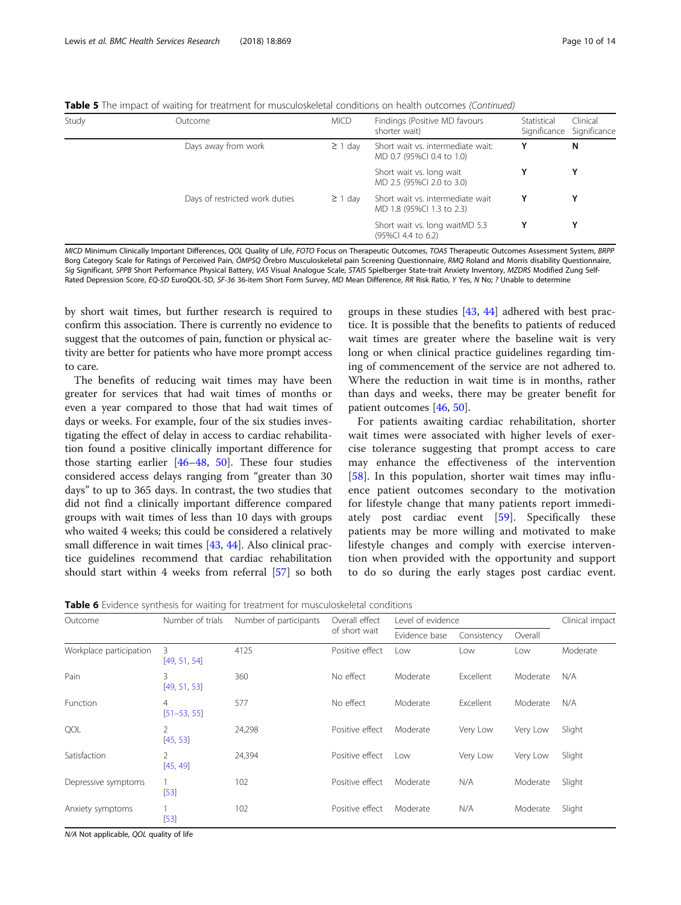<span id="page-9-0"></span>Table 5 The impact of waiting for treatment for musculoskeletal conditions on health outcomes (Continued)

| Study | Outcome                        | <b>MICD</b>  | Findings (Positive MD favours<br>shorter wait)                 | Statistical<br>Significance | Clinical<br>Significance |
|-------|--------------------------------|--------------|----------------------------------------------------------------|-----------------------------|--------------------------|
|       | Days away from work            | $\geq$ 1 day | Short wait vs. intermediate wait:<br>MD 0.7 (95%Cl 0.4 to 1.0) |                             | N                        |
|       |                                |              | Short wait vs. long wait<br>MD 2.5 (95%Cl 2.0 to 3.0)          |                             | Υ                        |
|       | Days of restricted work duties | $\geq$ 1 day | Short wait vs. intermediate wait<br>MD 1.8 (95%Cl 1.3 to 2.3)  |                             | Υ                        |
|       |                                |              | Short wait vs. long waitMD 5.3<br>(95%Cl 4.4 to 6.2)           |                             | Υ                        |

MICD Minimum Clinically Important Differences, QOL Quality of Life, FOTO Focus on Therapeutic Outcomes, TOAS Therapeutic Outcomes Assessment System, BRPP Borg Category Scale for Ratings of Perceived Pain, ŐMPSQ Őrebro Musculoskeletal pain Screening Questionnaire, RMQ Roland and Morris disability Questionnaire, Sig Significant, SPPB Short Performance Physical Battery, VAS Visual Analogue Scale, STAIS Spielberger State-trait Anxiety Inventory, MZDRS Modified Zung Self-Rated Depression Score, EQ-5D EuroQOL-5D, SF-36 36-item Short Form Survey, MD Mean Difference, RR Risk Ratio, Y Yes, N No; ? Unable to determine

by short wait times, but further research is required to confirm this association. There is currently no evidence to suggest that the outcomes of pain, function or physical activity are better for patients who have more prompt access to care.

The benefits of reducing wait times may have been greater for services that had wait times of months or even a year compared to those that had wait times of days or weeks. For example, four of the six studies investigating the effect of delay in access to cardiac rehabilitation found a positive clinically important difference for those starting earlier [\[46](#page-13-0)–[48,](#page-13-0) [50\]](#page-13-0). These four studies considered access delays ranging from "greater than 30 days" to up to 365 days. In contrast, the two studies that did not find a clinically important difference compared groups with wait times of less than 10 days with groups who waited 4 weeks; this could be considered a relatively small difference in wait times [\[43](#page-13-0), [44](#page-13-0)]. Also clinical practice guidelines recommend that cardiac rehabilitation should start within 4 weeks from referral [\[57\]](#page-13-0) so both

groups in these studies [\[43](#page-13-0), [44\]](#page-13-0) adhered with best practice. It is possible that the benefits to patients of reduced wait times are greater where the baseline wait is very long or when clinical practice guidelines regarding timing of commencement of the service are not adhered to. Where the reduction in wait time is in months, rather than days and weeks, there may be greater benefit for patient outcomes [[46](#page-13-0), [50](#page-13-0)].

For patients awaiting cardiac rehabilitation, shorter wait times were associated with higher levels of exercise tolerance suggesting that prompt access to care may enhance the effectiveness of the intervention [[58\]](#page-13-0). In this population, shorter wait times may influence patient outcomes secondary to the motivation for lifestyle change that many patients report immediately post cardiac event [[59\]](#page-13-0). Specifically these patients may be more willing and motivated to make lifestyle changes and comply with exercise intervention when provided with the opportunity and support to do so during the early stages post cardiac event.

Table 6 Evidence synthesis for waiting for treatment for musculoskeletal conditions

| Outcome                 | Number of trials                  | Number of participants | Overall effect  | Level of evidence |             |          | Clinical impact |
|-------------------------|-----------------------------------|------------------------|-----------------|-------------------|-------------|----------|-----------------|
|                         |                                   |                        | of short wait   | Evidence base     | Consistency | Overall  |                 |
| Workplace participation | 3<br>[49, 51, 54]                 | 4125                   | Positive effect | Low               | Low         | Low      | Moderate        |
| Pain                    | 3<br>[49, 51, 53]                 | 360                    | No effect       | Moderate          | Excellent   | Moderate | N/A             |
| Function                | $\overline{4}$<br>$[51 - 53, 55]$ | 577                    | No effect       | Moderate          | Excellent   | Moderate | N/A             |
| QOL                     | 2<br>[45, 53]                     | 24,298                 | Positive effect | Moderate          | Very Low    | Very Low | Slight          |
| Satisfaction            | 2<br>[45, 49]                     | 24,394                 | Positive effect | Low               | Very Low    | Very Low | Slight          |
| Depressive symptoms     | $[53]$                            | 102                    | Positive effect | Moderate          | N/A         | Moderate | Slight          |
| Anxiety symptoms        | $[53]$                            | 102                    | Positive effect | Moderate          | N/A         | Moderate | Slight          |

N/A Not applicable, QOL quality of life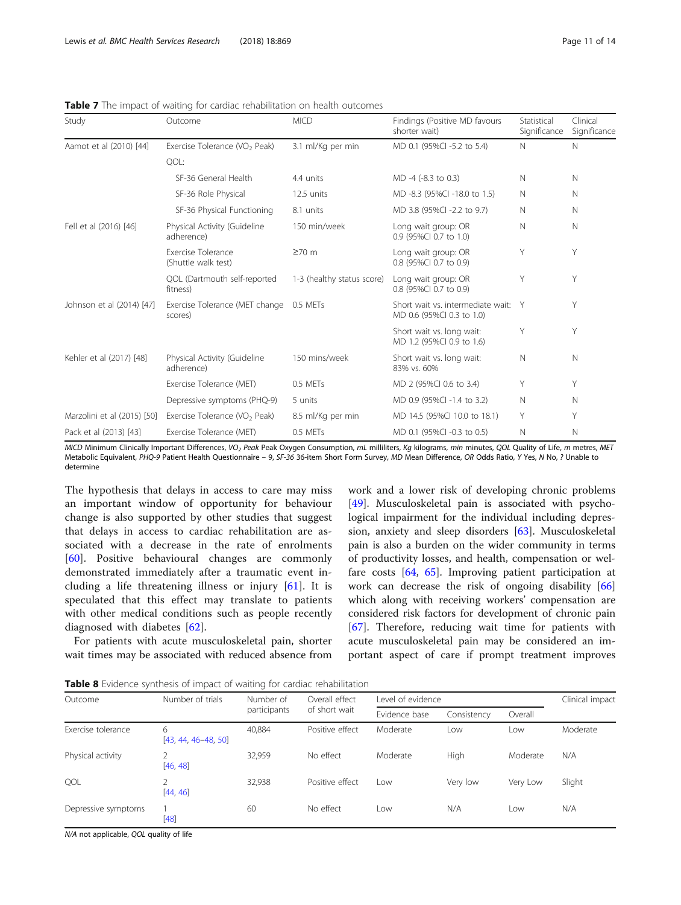| Study                       | Outcome                                    | <b>MICD</b>                | Findings (Positive MD favours<br>shorter wait)                 | Statistical<br>Significance | Clinical<br>Significance |
|-----------------------------|--------------------------------------------|----------------------------|----------------------------------------------------------------|-----------------------------|--------------------------|
| Aamot et al (2010) [44]     | Exercise Tolerance (VO <sub>2</sub> Peak)  | 3.1 ml/Kg per min          | MD 0.1 (95%Cl -5.2 to 5.4)                                     | N                           | N                        |
|                             | QOL:                                       |                            |                                                                |                             |                          |
|                             | SF-36 General Health                       | 4.4 units                  | MD -4 (-8.3 to 0.3)                                            | N                           | N                        |
|                             | SF-36 Role Physical                        | 12.5 units                 | MD -8.3 (95%Cl -18.0 to 1.5)                                   | $\mathbb N$                 | N                        |
|                             | SF-36 Physical Functioning                 | 8.1 units                  | MD 3.8 (95%Cl -2.2 to 9.7)                                     | $\mathbb N$                 | N                        |
| Fell et al (2016) [46]      | Physical Activity (Guideline<br>adherence) | 150 min/week               | Long wait group: OR<br>0.9 (95%Cl 0.7 to 1.0)                  | $\mathbb N$                 | N                        |
|                             | Exercise Tolerance<br>(Shuttle walk test)  | $\geq 70$ m                | Long wait group: OR<br>0.8 (95%CI 0.7 to 0.9)                  | Y                           | Υ                        |
|                             | QOL (Dartmouth self-reported<br>fitness)   | 1-3 (healthy status score) | Long wait group: OR<br>0.8 (95%Cl 0.7 to 0.9)                  | Y                           | Υ                        |
| Johnson et al (2014) [47]   | Exercise Tolerance (MET change<br>scores)  | 0.5 METs                   | Short wait vs. intermediate wait:<br>MD 0.6 (95%CI 0.3 to 1.0) | Y                           | Υ                        |
|                             |                                            |                            | Short wait vs. long wait:<br>MD 1.2 (95%Cl 0.9 to 1.6)         | Y                           | Υ                        |
| Kehler et al (2017) [48]    | Physical Activity (Guideline<br>adherence) | 150 mins/week              | Short wait vs. long wait:<br>83% vs. 60%                       | N                           | N                        |
|                             | Exercise Tolerance (MET)                   | 0.5 METs                   | MD 2 (95%Cl 0.6 to 3.4)                                        | Y                           | Υ                        |
|                             | Depressive symptoms (PHQ-9)                | 5 units                    | MD 0.9 (95%Cl -1.4 to 3.2)                                     | N                           | N                        |
| Marzolini et al (2015) [50] | Exercise Tolerance (VO <sub>2</sub> Peak)  | 8.5 ml/Kg per min          | MD 14.5 (95%Cl 10.0 to 18.1)                                   | Υ                           | Υ                        |
| Pack et al (2013) [43]      | Exercise Tolerance (MET)                   | 0.5 METs                   | MD 0.1 (95%Cl -0.3 to 0.5)                                     | N                           | N                        |

<span id="page-10-0"></span>Table 7 The impact of waiting for cardiac rehabilitation on health outcomes

MICD Minimum Clinically Important Differences, VO<sub>2</sub> Peak Peak Oxygen Consumption, mL milliliters, Kg kilograms, min minutes, QOL Quality of Life, m metres, MET Metabolic Equivalent, PHQ-9 Patient Health Questionnaire – 9, SF-36 36-item Short Form Survey, MD Mean Difference, OR Odds Ratio, Y Yes, N No, ? Unable to determine

The hypothesis that delays in access to care may miss an important window of opportunity for behaviour change is also supported by other studies that suggest that delays in access to cardiac rehabilitation are associated with a decrease in the rate of enrolments [[60\]](#page-13-0). Positive behavioural changes are commonly demonstrated immediately after a traumatic event including a life threatening illness or injury [\[61](#page-13-0)]. It is speculated that this effect may translate to patients with other medical conditions such as people recently diagnosed with diabetes [\[62](#page-13-0)].

For patients with acute musculoskeletal pain, shorter wait times may be associated with reduced absence from work and a lower risk of developing chronic problems [[49\]](#page-13-0). Musculoskeletal pain is associated with psychological impairment for the individual including depression, anxiety and sleep disorders [[63\]](#page-13-0). Musculoskeletal pain is also a burden on the wider community in terms of productivity losses, and health, compensation or welfare costs [\[64](#page-13-0), [65](#page-13-0)]. Improving patient participation at work can decrease the risk of ongoing disability [[66](#page-13-0)] which along with receiving workers' compensation are considered risk factors for development of chronic pain [[67\]](#page-13-0). Therefore, reducing wait time for patients with acute musculoskeletal pain may be considered an important aspect of care if prompt treatment improves

**Table 8** Evidence synthesis of impact of waiting for cardiac rehabilitation

| Outcome             | Number of trials           | Number of    | Overall effect  | Level of evidence |             |          | Clinical impact |
|---------------------|----------------------------|--------------|-----------------|-------------------|-------------|----------|-----------------|
|                     |                            | participants | of short wait   | Evidence base     | Consistency | Overall  |                 |
| Exercise tolerance  | 6<br>$[43, 44, 46-48, 50]$ | 40,884       | Positive effect | Moderate          | LOW         | Low      | Moderate        |
| Physical activity   | [46, 48]                   | 32,959       | No effect       | Moderate          | High        | Moderate | N/A             |
| QOL                 | [44, 46]                   | 32,938       | Positive effect | Low               | Very low    | Very Low | Slight          |
| Depressive symptoms | [48]                       | 60           | No effect       | Low               | N/A         | Low      | N/A             |

N/A not applicable, QOL quality of life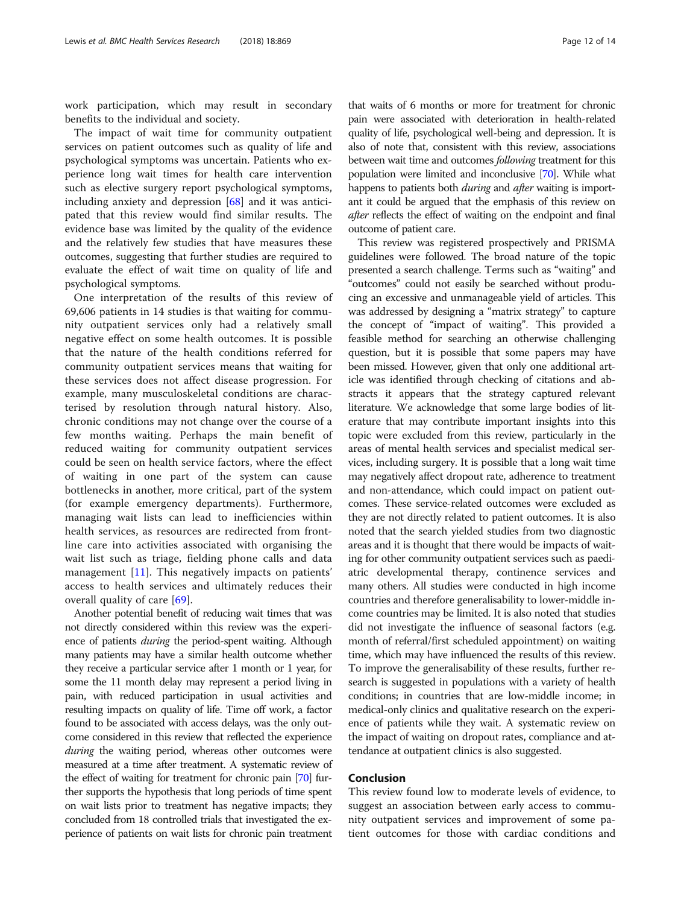work participation, which may result in secondary benefits to the individual and society.

The impact of wait time for community outpatient services on patient outcomes such as quality of life and psychological symptoms was uncertain. Patients who experience long wait times for health care intervention such as elective surgery report psychological symptoms, including anxiety and depression [[68\]](#page-13-0) and it was anticipated that this review would find similar results. The evidence base was limited by the quality of the evidence and the relatively few studies that have measures these outcomes, suggesting that further studies are required to evaluate the effect of wait time on quality of life and psychological symptoms.

One interpretation of the results of this review of 69,606 patients in 14 studies is that waiting for community outpatient services only had a relatively small negative effect on some health outcomes. It is possible that the nature of the health conditions referred for community outpatient services means that waiting for these services does not affect disease progression. For example, many musculoskeletal conditions are characterised by resolution through natural history. Also, chronic conditions may not change over the course of a few months waiting. Perhaps the main benefit of reduced waiting for community outpatient services could be seen on health service factors, where the effect of waiting in one part of the system can cause bottlenecks in another, more critical, part of the system (for example emergency departments). Furthermore, managing wait lists can lead to inefficiencies within health services, as resources are redirected from frontline care into activities associated with organising the wait list such as triage, fielding phone calls and data management [\[11](#page-12-0)]. This negatively impacts on patients' access to health services and ultimately reduces their overall quality of care [\[69](#page-13-0)].

Another potential benefit of reducing wait times that was not directly considered within this review was the experience of patients during the period-spent waiting. Although many patients may have a similar health outcome whether they receive a particular service after 1 month or 1 year, for some the 11 month delay may represent a period living in pain, with reduced participation in usual activities and resulting impacts on quality of life. Time off work, a factor found to be associated with access delays, was the only outcome considered in this review that reflected the experience during the waiting period, whereas other outcomes were measured at a time after treatment. A systematic review of the effect of waiting for treatment for chronic pain [\[70](#page-13-0)] further supports the hypothesis that long periods of time spent on wait lists prior to treatment has negative impacts; they concluded from 18 controlled trials that investigated the experience of patients on wait lists for chronic pain treatment

that waits of 6 months or more for treatment for chronic pain were associated with deterioration in health-related quality of life, psychological well-being and depression. It is also of note that, consistent with this review, associations between wait time and outcomes following treatment for this

population were limited and inconclusive [[70\]](#page-13-0). While what happens to patients both *during* and *after* waiting is important it could be argued that the emphasis of this review on after reflects the effect of waiting on the endpoint and final outcome of patient care. This review was registered prospectively and PRISMA

guidelines were followed. The broad nature of the topic presented a search challenge. Terms such as "waiting" and "outcomes" could not easily be searched without producing an excessive and unmanageable yield of articles. This was addressed by designing a "matrix strategy" to capture the concept of "impact of waiting". This provided a feasible method for searching an otherwise challenging question, but it is possible that some papers may have been missed. However, given that only one additional article was identified through checking of citations and abstracts it appears that the strategy captured relevant literature. We acknowledge that some large bodies of literature that may contribute important insights into this topic were excluded from this review, particularly in the areas of mental health services and specialist medical services, including surgery. It is possible that a long wait time may negatively affect dropout rate, adherence to treatment and non-attendance, which could impact on patient outcomes. These service-related outcomes were excluded as they are not directly related to patient outcomes. It is also noted that the search yielded studies from two diagnostic areas and it is thought that there would be impacts of waiting for other community outpatient services such as paediatric developmental therapy, continence services and many others. All studies were conducted in high income countries and therefore generalisability to lower-middle income countries may be limited. It is also noted that studies did not investigate the influence of seasonal factors (e.g. month of referral/first scheduled appointment) on waiting time, which may have influenced the results of this review. To improve the generalisability of these results, further research is suggested in populations with a variety of health conditions; in countries that are low-middle income; in medical-only clinics and qualitative research on the experience of patients while they wait. A systematic review on the impact of waiting on dropout rates, compliance and attendance at outpatient clinics is also suggested.

## Conclusion

This review found low to moderate levels of evidence, to suggest an association between early access to community outpatient services and improvement of some patient outcomes for those with cardiac conditions and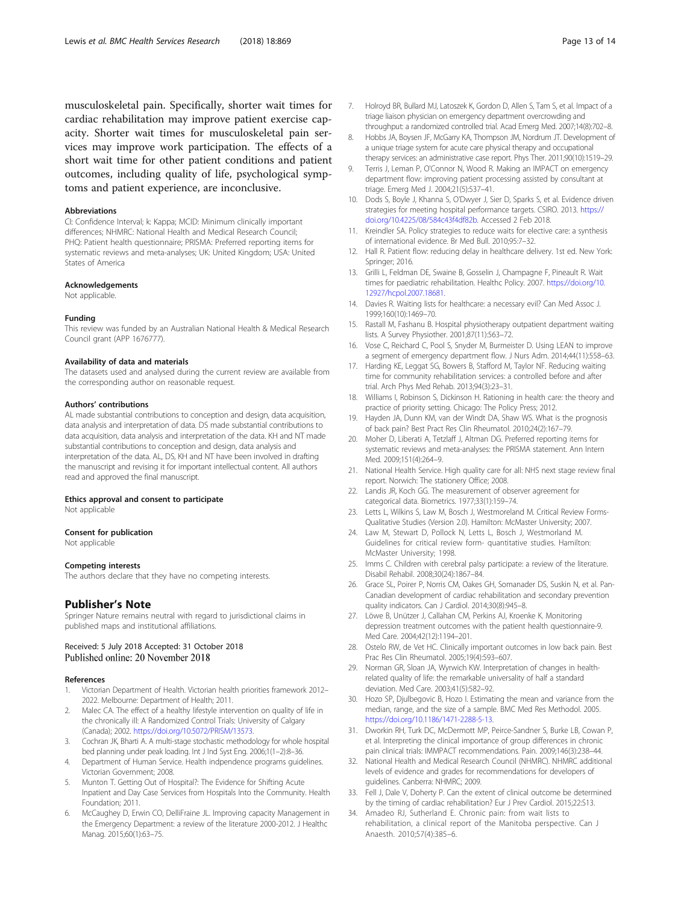<span id="page-12-0"></span>musculoskeletal pain. Specifically, shorter wait times for cardiac rehabilitation may improve patient exercise capacity. Shorter wait times for musculoskeletal pain services may improve work participation. The effects of a short wait time for other patient conditions and patient outcomes, including quality of life, psychological symptoms and patient experience, are inconclusive.

#### Abbreviations

CI: Confidence Interval; k: Kappa; MCID: Minimum clinically important differences; NHMRC: National Health and Medical Research Council; PHQ: Patient health questionnaire; PRISMA: Preferred reporting items for systematic reviews and meta-analyses; UK: United Kingdom; USA: United States of America

#### Acknowledgements

Not applicable.

#### Funding

This review was funded by an Australian National Health & Medical Research Council grant (APP 1676777).

### Availability of data and materials

The datasets used and analysed during the current review are available from the corresponding author on reasonable request.

## Authors' contributions

AL made substantial contributions to conception and design, data acquisition, data analysis and interpretation of data. DS made substantial contributions to data acquisition, data analysis and interpretation of the data. KH and NT made substantial contributions to conception and design, data analysis and interpretation of the data. AL, DS, KH and NT have been involved in drafting the manuscript and revising it for important intellectual content. All authors read and approved the final manuscript.

### Ethics approval and consent to participate

Not applicable

#### Consent for publication

Not applicable

#### Competing interests

The authors declare that they have no competing interests.

### Publisher's Note

Springer Nature remains neutral with regard to jurisdictional claims in published maps and institutional affiliations.

#### Received: 5 July 2018 Accepted: 31 October 2018 Published online: 20 November 2018

#### References

- 1. Victorian Department of Health. Victorian health priorities framework 2012– 2022. Melbourne: Department of Health; 2011.
- Malec CA. The effect of a healthy lifestyle intervention on quality of life in the chronically ill: A Randomized Control Trials: University of Calgary (Canada); 2002. [https://doi.org/10.5072/PRISM/13573.](https://doi.org/10.5072/PRISM/13573)
- Cochran JK, Bharti A. A multi-stage stochastic methodology for whole hospital bed planning under peak loading. Int J Ind Syst Eng. 2006;1(1–2):8–36.
- 4. Department of Human Service. Health indpendence programs guidelines. Victorian Government; 2008.
- 5. Munton T. Getting Out of Hospital?: The Evidence for Shifting Acute Inpatient and Day Case Services from Hospitals Into the Community. Health Foundation; 2011.
- McCaughey D, Erwin CO, DelliFraine JL. Improving capacity Management in the Emergency Department: a review of the literature 2000-2012. J Healthc Manag. 2015;60(1):63–75.
- 7. Holroyd BR, Bullard MJ, Latoszek K, Gordon D, Allen S, Tam S, et al. Impact of a triage liaison physician on emergency department overcrowding and throughput: a randomized controlled trial. Acad Emerg Med. 2007;14(8):702–8.
- 8. Hobbs JA, Boysen JF, McGarry KA, Thompson JM, Nordrum JT. Development of a unique triage system for acute care physical therapy and occupational therapy services: an administrative case report. Phys Ther. 2011;90(10):1519–29.
- Terris J, Leman P, O'Connor N, Wood R. Making an IMPACT on emergency department flow: improving patient processing assisted by consultant at triage. Emerg Med J. 2004;21(5):537–41.
- 10. Dods S, Boyle J, Khanna S, O'Dwyer J, Sier D, Sparks S, et al. Evidence driven strategies for meeting hospital performance targets. CSIRO. 2013. [https://](https://doi.org/10.4225/08/584c43f4df82b) [doi.org/10.4225/08/584c43f4df82b](https://doi.org/10.4225/08/584c43f4df82b). Accessed 2 Feb 2018.
- 11. Kreindler SA. Policy strategies to reduce waits for elective care: a synthesis of international evidence. Br Med Bull. 2010;95:7–32.
- 12. Hall R. Patient flow: reducing delay in healthcare delivery. 1st ed. New York: Springer; 2016.
- 13. Grilli L, Feldman DE, Swaine B, Gosselin J, Champagne F, Pineault R. Wait times for paediatric rehabilitation. Healthc Policy. 2007. [https://doi.org/10.](https://doi.org/10.12927/hcpol.2007.18681) [12927/hcpol.2007.18681](https://doi.org/10.12927/hcpol.2007.18681).
- 14. Davies R. Waiting lists for healthcare: a necessary evil? Can Med Assoc J. 1999;160(10):1469–70.
- 15. Rastall M, Fashanu B. Hospital physiotherapy outpatient department waiting lists. A Survey Physiother. 2001;87(11):563–72.
- 16. Vose C, Reichard C, Pool S, Snyder M, Burmeister D. Using LEAN to improve a segment of emergency department flow. J Nurs Adm. 2014;44(11):558–63.
- 17. Harding KE, Leggat SG, Bowers B, Stafford M, Taylor NF. Reducing waiting time for community rehabilitation services: a controlled before and after trial. Arch Phys Med Rehab. 2013;94(3):23–31.
- 18. Williams I, Robinson S, Dickinson H. Rationing in health care: the theory and practice of priority setting. Chicago: The Policy Press; 2012.
- 19. Hayden JA, Dunn KM, van der Windt DA, Shaw WS. What is the prognosis of back pain? Best Pract Res Clin Rheumatol. 2010;24(2):167–79.
- 20. Moher D, Liberati A, Tetzlaff J, Altman DG. Preferred reporting items for systematic reviews and meta-analyses: the PRISMA statement. Ann Intern Med. 2009;151(4):264–9.
- 21. National Health Service. High quality care for all: NHS next stage review final report. Norwich: The stationery Office; 2008.
- 22. Landis JR, Koch GG. The measurement of observer agreement for categorical data. Biometrics. 1977;33(1):159–74.
- 23. Letts L, Wilkins S, Law M, Bosch J, Westmoreland M. Critical Review Forms-Qualitative Studies (Version 2.0). Hamilton: McMaster University; 2007.
- 24. Law M, Stewart D, Pollock N, Letts L, Bosch J, Westmorland M. Guidelines for critical review form- quantitative studies. Hamilton: McMaster University; 1998.
- 25. Imms C. Children with cerebral palsy participate: a review of the literature. Disabil Rehabil. 2008;30(24):1867–84.
- 26. Grace SL, Poirer P, Norris CM, Oakes GH, Somanader DS, Suskin N, et al. Pan-Canadian development of cardiac rehabilitation and secondary prevention quality indicators. Can J Cardiol. 2014;30(8):945–8.
- 27. Löwe B, Unützer J, Callahan CM, Perkins AJ, Kroenke K. Monitoring depression treatment outcomes with the patient health questionnaire-9. Med Care. 2004;42(12):1194–201.
- 28. Ostelo RW, de Vet HC. Clinically important outcomes in low back pain. Best Prac Res Clin Rheumatol. 2005;19(4):593–607.
- 29. Norman GR, Sloan JA, Wyrwich KW. Interpretation of changes in healthrelated quality of life: the remarkable universality of half a standard deviation. Med Care. 2003;41(5):582–92.
- 30. Hozo SP, Djulbegovic B, Hozo I. Estimating the mean and variance from the median, range, and the size of a sample. BMC Med Res Methodol. 2005. [https://doi.org/10.1186/1471-2288-5-13.](https://doi.org/10.1186/1471-2288-5-13)
- 31. Dworkin RH, Turk DC, McDermott MP, Peirce-Sandner S, Burke LB, Cowan P, et al. Interpreting the clinical importance of group differences in chronic pain clinical trials: IMMPACT recommendations. Pain. 2009;146(3):238–44.
- 32. National Health and Medical Research Council (NHMRC). NHMRC additional levels of evidence and grades for recommendations for developers of guidelines. Canberra: NHMRC; 2009.
- 33. Fell J, Dale V, Doherty P. Can the extent of clinical outcome be determined by the timing of cardiac rehabilitation? Eur J Prev Cardiol. 2015;22:S13.
- 34. Amadeo RJ, Sutherland E. Chronic pain: from wait lists to rehabilitation, a clinical report of the Manitoba perspective. Can J Anaesth. 2010;57(4):385–6.